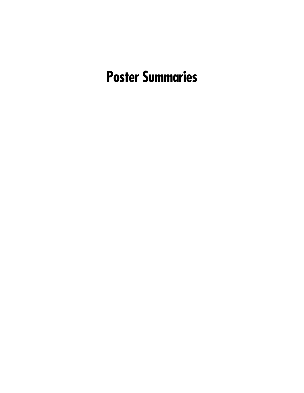# **Poster Summaries**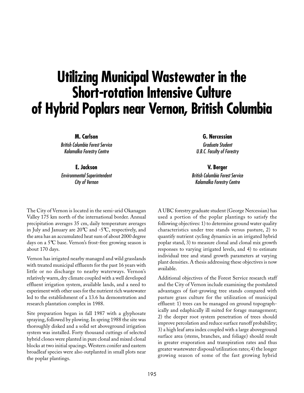# **Utilizing Municipal Wastewater in the Short-rotation Intensive Culture of Hybrid Poplars near Vernon, British Columbia**

**M. Carlson**

British Columbia Forest Service Kalamalka Forestry Centre

**E. Jackson**

Environmental Superintendent City of Vernon

The City of Vernon is located in the semi-arid Okanagan Valley 175 km north of the international border. Annual precipitation averages 35 cm, daily temperature averages in July and January are 20°C and -5°C, respectively, and the area has an accumulated heat sum of about 2000 degree days on a 5°C base. Vernon's frost-free growing season is about 170 days.

Vernon has irrigated nearby managed and wild grasslands with treated municipal effluents for the past 16 years with little or no discharge to nearby waterways. Vernon's relatively warm, dry climate coupled with a well developed effluent irrigation system, available lands, and a need to experiment with other uses for the nutrient rich wastewater led to the establishment of a 13.6 ha demonstration and research plantation complex in 1988.

Site preparation began in fall 1987 with a glyphosate spraying, followed by plowing. In spring 1988 the site was thoroughly disked and a solid set aboveground irrigation system was installed. Forty thousand cuttings of selected hybrid clones were planted in pure clonal and mixed clonal blocks at two initial spacings. Western conifer and eastern broadleaf species were also outplanted in small plots near the poplar plantings.

**G. Nercessian**

Graduate Student U.B.C. Faculty of Forestry

**V. Berger**

British Columbia Forest Service Kalamalka Forestry Centre

A UBC forestry graduate student (George Nercessian) has used a portion of the poplar plantings to satisfy the following objectives: 1) to determine ground water quality characteristics under tree stands versus pasture, 2) to quantify nutrient cycling dynamics in an irrigated hybrid poplar stand, 3) to measure clonal and clonal mix growth responses to varying irrigated levels, and 4) to estimate individual tree and stand growth parameters at varying plant densities. A thesis addressing these objectives is now available.

Additional objectives of the Forest Service research staff and the City of Vernon include examining the postulated advantages of fast-growing tree stands compared with pasture grass culture for the utilization of municipal effluent: 1) trees can be managed on ground topographically and edaphically ill suited for forage management; 2) the deeper root system penetration of trees should improve percolation and reduce surface runoff probability; 3) a high leaf area index coupled with a large aboveground surface area (stems, branches, and foliage) should result in greater evaporation and transpiration rates and thus greater wastewater disposal/utilization rates; 4) the longer growing season of some of the fast growing hybrid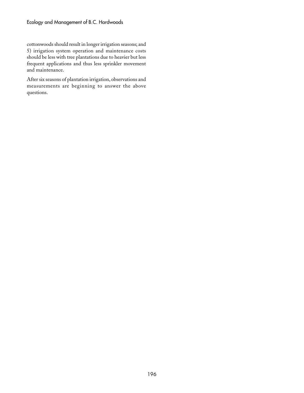cottonwoods should result in longer irrigation seasons; and 5) irrigation system operation and maintenance costs should be less with tree plantations due to heavier but less frequent applications and thus less sprinkler movement and maintenance.

After six seasons of plantation irrigation, observations and measurements are beginning to answer the above questions.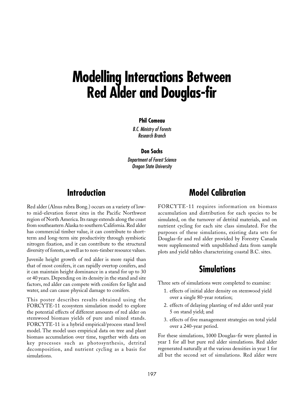# **Modelling Interactions Between Red Alder and Douglas-fir**

#### **Phil Comeau**

B.C. Ministry of Forests Research Branch

#### **Don Sachs**

Department of Forest Science Oregon State University

## **Introduction**

Red alder (Alnus rubra Bong.) occurs on a variety of lowto mid-elevation forest sites in the Pacific Northwest region of North America. Its range extends along the coast from southeastern Alaska to southern California. Red alder has commercial timber value, it can contribute to shortterm and long-term site productivity through symbiotic nitrogen fixation, and it can contribute to the structural diversity of forests, as well as to non-timber resource values.

Juvenile height growth of red alder is more rapid than that of most conifers, it can rapidly overtop conifers, and it can maintain height dominance in a stand for up to 30 or 40 years. Depending on its density in the stand and site factors, red alder can compete with conifers for light and water, and can cause physical damage to conifers.

This poster describes results obtained using the FORCYTE-11 ecosystem simulation model to explore the potential effects of different amounts of red alder on stemwood biomass yields of pure and mixed stands. FORCYTE-11 is a hybrid empirical/process stand level model. The model uses empirical data on tree and plant biomass accumulation over time, together with data on key processes such as photosynthesis, detrital decomposition, and nutrient cycling as a basis for simulations.

# **Model Calibration**

FORCYTE-11 requires information on biomass accumulation and distribution for each species to be simulated, on the turnover of detrital materials, and on nutrient cycling for each site class simulated. For the purposes of these simulations, existing data sets for Douglas-fir and red alder provided by Forestry Canada were supplemented with unpublished data from sample plots and yield tables characterizing coastal B.C. sites.

## **Simulations**

Three sets of simulations were completed to examine:

- 1. effects of initial alder density on stemwood yield over a single 80-year rotation;
- 2. effects of delaying planting of red alder until year 5 on stand yield; and
- 3. effects of five management strategies on total yield over a 240-year period.

For these simulations, 1000 Douglas-fir were planted in year 1 for all but pure red alder simulations. Red alder regenerated naturally at the various densities in year 1 for all but the second set of simulations. Red alder were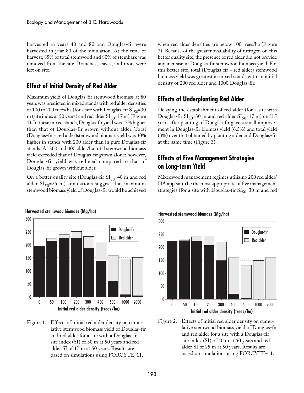harvested in years 40 and 80 and Douglas-fir were harvested in year 80 of the simulation. At the time of harvest, 85% of total stemwood and 80% of stembark was removed from the site. Branches, leaves, and roots were left on site.

### **Effect of Initial Density of Red Alder**

Maximum yield of Douglas-fir stemwood biomass at 80 years was predicted in mixed stands with red alder densities of 100 to 200 trees/ha (for a site with Douglas-fir  $SI_{50}$ =30 m (site index at 50 years) and red alder  $SI<sub>50</sub>=17$  m) (Figure 1). In these mixed stands, Douglas-fir yield was 13% higher than that of Douglas-fir grown without alder. Total (Douglas-fir + red alder)stemwood biomass yield was 30% higher in stands with 200 alder than in pure Douglas-fir stands. At 300 and 400 alder/ha total stemwood biomass yield exceeded that of Douglas-fir grown alone; however, Douglas-fir yield was reduced compared to that of Douglas-fir grown without alder.

On a better quality site (Douglas-fir  $SI_{50}$ =40 m and red alder  $SI<sub>50</sub>=25$  m) simulations suggest that maximum stemwood biomass yield of Douglas-fir would be achieved



#### Figure 1. Effects of initial red alder density on cumulative stemwood biomass yield of Douglas-fir and red alder for a site with a Douglas-fir site index (SI) of 30 m at 50 years and red alder SI of 17 m at 50 years. Results are based on simulations using FORCYTE\_11.

when red alder densities are below 100 trees/ha (Figure 2). Because of the greater availability of nitrogen on this better quality site, the presence of red alder did not provide any increase in Douglas-fir stemwood biomass yield. For this better site, total (Douglas-fir + red alder) stemwood biomass yield was greatest in mixed stands with an initial density of 200 red alder and 1000 Douglas-fir.

### **Effects of Underplanting Red Alder**

Delaying the establishment of red alder (for a site with Douglas-fir  $SI_{50}$ =30 m and red alder  $SI_{50}$ =17 m) until 5 years after planting of Douglas-fir gave a small improvement in Douglas-fir biomass yield (6.5%) and total yield (3%) over that obtained by planting alder and Douglas-fir at the same time (Figure 3).

### **Effects of Five Management Strategies on Long-term Yield**

Mixedwood management regimes utilizing 200 red alder/ HA appear to be the most appropriate of five management strategies (for a site with Douglas-fir  $SI<sub>50</sub>=30$  m and red

### 300 250 200 150 100 50  $\mathbf{0}$ 0 50 100 200 300 400 500 1000 2000 **Initial red alder density (trees/ha)** Douglas-fir Red alder



# **Harvested stemwood biomass (Mg/ha)**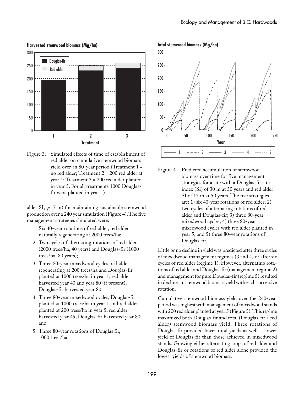

**Harvested stemwood biomass (Mg/ha)**

Figure 3. Simulated effects of time of establishment of red alder on cumulative stemwood biomass yield over an 80-year period (Treatment 1 = no red alder; Treatment 2 = 200 red alder at year 1; Treatment 3 = 200 red alder planted in year 5. For all treatments 1000 Douglasfir were planted in year 1).

alder  $SI<sub>50</sub>=17$  m) for maintaining sustainable stemwood production over a 240 year simulation (Figure 4). The five management strategies simulated were:

- 1. Six 40-year rotations of red alder, red alder naturally regenerating at 2000 trees/ha;
- 2. Two cycles of alternating rotations of red alder (2000 trees/ha, 40 years) and Douglas-fir (1000 trees/ha, 80 years);
- 3. Three 80-year mixedwood cycles, red alder regenerating at 200 trees/ha and Douglas-fir planted at 1000 trees/ha in year 1, red alder harvested year 40 and year 80 (if present), Douglas-fir harvested year 80;
- 4. Three 80-year mixedwood cycles, Douglas-fir planted at 1000 trees/ha in year 1 and red alder planted at 200 trees/ha in year 5, red alder harvested year 45, Douglas-fir harvested year 80; and
- 5. Three 80-year rotations of Douglas fir, 1000 trees/ha.

**Total stemwood biomass (Mg/ha)**



Figure 4. Predicted accumulation of stemwood biomass over time for five management strategies for a site with a Douglas-fir site index (SI) of 30 m at 50 years and red alder SI of 17 m at 50 years. The five strategies are: 1) six 40-year rotations of red alder; 2) two cycles of alternating rotations of red alder and Douglas-fir; 3) three 80-year mixedwood cycles; 4) three 80-year mixedwood cycles with red alder planted in year 5; and 5) three 80-year rotations of Douglas-fir.

Little or no decline in yield was predicted after three cycles of mixedwood management regimes (3 and 4) or after six cycles of red alder (regime 1). However, alternating rotations of red alder and Douglas-fir (management regime 2) and management for pure Douglas-fir (regime 5) resulted in declines in stemwood biomass yield with each successive rotation.

Cumulative stemwood biomass yield over the 240-year period was highest with management of mixedwood stands with 200 red alder planted at year 5 (Figure 5). This regime maximized both Douglas-fir and total (Douglas-fir + red alder) stemwood biomass yield. Three rotations of Douglas-fir provided lower total yields as well as lower yield of Douglas-fir than those achieved in mixedwood stands. Growing either alternating crops of red alder and Douglas-fir or rotations of red alder alone provided the lowest yields of stemwood biomass.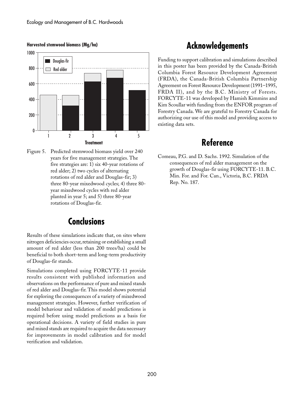

**Harvested stemwood biomass (Mg/ha)**

# **Acknowledgements**

Funding to support calibration and simulations described in this poster has been provided by the Canada-British Columbia Forest Resource Development Agreement (FRDA), the Canada-British Columbia Partnership Agreement on Forest Resource Development (1991–1995, FRDA II), and by the B.C. Ministry of Forests. FORCYTE-11 was developed by Hamish Kimmins and Kim Scoullar with funding from the ENFOR program of Forestry Canada. We are grateful to Forestry Canada for authorizing our use of this model and providing access to existing data sets.

### **Reference**

Figure 5. Predicted stemwood biomass yield over 240 years for five management strategies. The five strategies are: 1) six 40-year rotations of red alder; 2) two cycles of alternating rotations of red alder and Douglas-fir; 3) three 80-year mixedwood cycles; 4) three 80 year mixedwood cycles with red alder planted in year 5; and 5) three 80-year rotations of Douglas-fir.

## **Conclusions**

Results of these simulations indicate that, on sites where nitrogen deficiencies occur, retaining or establishing a small amount of red alder (less than 200 trees/ha) could be beneficial to both short-term and long-term productivity of Douglas-fir stands.

Simulations completed using FORCYTE-11 provide results consistent with published information and observations on the performance of pure and mixed stands of red alder and Douglas-fir. This model shows potential for exploring the consequences of a variety of mixedwood management strategies. However, further verification of model behaviour and validation of model predictions is required before using model predictions as a basis for operational decisions. A variety of field studies in pure and mixed stands are required to acquire the data necessary for improvements in model calibration and for model verification and validation.

Comeau, P.G. and D. Sachs. 1992. Simulation of the consequences of red alder management on the growth of Douglas-fir using FORCYTE-11. B.C. Min. For. and For. Can., Victoria, B.C. FRDA Rep. No. 187.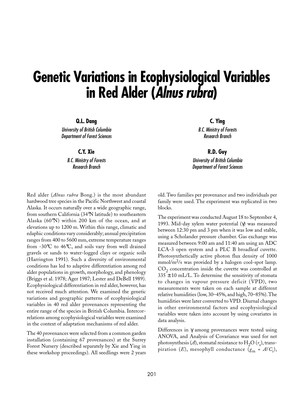# **Genetic Variations in Ecophysiological Variables in Red Alder (Alnus rubra)**

**Q.L. Dang**

University of British Columbia Department of Forest Sciences

**C.Y. Xie**

B.C. Ministry of Forests Research Branch

Red alder (*Alnus rubra* Bong.) is the most abundant hardwood tree species in the Pacific Northwest and coastal Alaska. It occurs naturally over a wide geographic range, from southern California (34°N latitude) to southeastern Alaska (60°N) within 200 km of the ocean, and at elevations up to 1200 m. Within this range, climatic and edaphic conditions vary considerably; annual precipitation ranges from 400 to 5600 mm, extreme temperature ranges from -30°C to 46°C, and soils vary from well drained gravels or sands to water-logged clays or organic soils (Harrington 1991). Such a diversity of environmental conditions has led to adaptive differentiation among red alder populations in growth, morphology, and phenology (Briggs et al. 1978; Ager 1987; Lester and DeBell 1989). Ecophysiological differentiation in red alder, however, has not received much attention. We examined the genetic variations and geographic patterns of ecophysiological variables in 40 red alder provenances representing the entire range of the species in British Columbia. Intercorrelations among ecophysiological variables were examined in the context of adaptation mechanisms of red alder.

The 40 provenances were selected from a common garden installation (containing 67 provenances) at the Surrey Forest Nursery (described separately by Xie and Ying in these workshop proceedings). All seedlings were 2 years

**C. Ying** B.C. Ministry of Forests Research Branch

**R.D. Guy** University of British Columbia Department of Forest Sciences

old. Two families per provenance and two individuals per family were used. The experiment was replicated in two blocks.

The experiment was conducted August 18 to September 4, 1993. Mid-day xylem water potential (γ) was measured between 12:30 pm and 3 pm when it was low and stable, using a Scholander pressure chamber. Gas exchange was measured between 9:00 am and 11:40 am using an ADC LCA-3 open system and a PLC B broadleaf cuvette. Photosynthetically active photon flux density of 1000  $mmol/m<sup>2</sup>/s$  was provided by a halogen cool-spot lamp.  $CO<sub>2</sub>$  concentration inside the cuvette was controlled at  $335 \pm 10$  mL/L. To determine the sensitivity of stomata to changes in vapour pressure deficit (VPD), two measurements were taken on each sample at different relative humidities (low, 30–45%, and high, 70–85%). The humidities were later converted to VPD. Diurnal changes in other environmental factors and ecophysiological variables were taken into account by using covariates in data analysis.

Differences in  $\gamma$  among provenances were tested using ANOVA, and Analysis of Covariance was used for net photosynthesis (A), stomatal resistance to  $\rm H_2O$  ( $r_{\rm s}$ ), transpiration (*E*), mesophyll conductance ( $g_{\text{m}}$  = *A*/*C*<sub>i</sub>),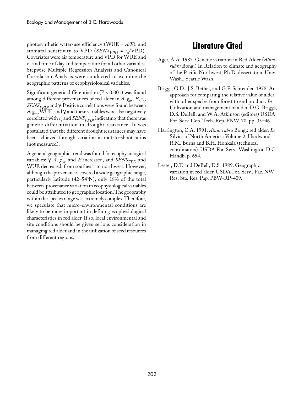photosynthetic water-use efficiency (WUE = *A/E*), and stomatal sensitivity to VPD (*SENS<sub>VPD</sub>* =  $r_s$ /VPD). Covariates were air temperature and VPD for WUE and  $r_{\rm s}$ , and time of day and temperature for all other variables. Stepwise Multiple Regression Analysis and Canonical Correlation Analysis were conducted to examine the geographic patterns of ecophysiological variables.

Significant genetic differentiation ( $P < 0.001$ ) was found among different provenances of red alder in  $A$ ,  $g<sub>m</sub>$ ,  $E$ ,  $r<sub>s</sub>$ , *SENS<sub>VPD</sub>*, and γ. Positive correlations were found between  $A, g<sub>m</sub>$ , WUE, and  $\gamma$ , and these variables were also negatively correlated with  $r_{\rm s}$  and *SENS<sub>VPD</sub>*, indicating that there was genetic differentiation in drought resistance. It was postulated that the different drought resistances may have been achieved through variation in root-to-shoot ratios (not measured).

A general geographic trend was found for ecophysiological variables:  $\gamma$ ,  $A$ ,  $g<sub>m</sub>$ , and  $E$  increased, and *SENS<sub>VPD</sub>* and WUE decreased, from southeast to northwest. However, although the provenances covered a wide geographic range, particularly latitude (42–54°N), only 18% of the total between-provenance variation in ecophysiological variables could be attributed to geographic location. The geography within the species range was extremely complex. Therefore, we speculate that micro-environmental conditions are likely to be more important in defining ecophysiological characteristics in red alder. If so, local environmental and site conditions should be given serious consideration in managing red alder and in the utilization of seed resources from different regions.

## **Literature Cited**

- Ager, A.A. 1987. Genetic variation in Red Alder (*Alnus rubra* Bong.) In Relation to climate and geography of the Pacific Northwest. Ph.D. dissertation, Univ. Wash., Seattle Wash.
- Briggs, G.D., J.S. Bethel, and G.F. Schreuder. 1978. An approach for comparing the relative value of alder with other species from forest to end product. *In* Utilization and management of alder. D.G. Briggs, D.S. DeBell, and W.A. Atkinson (editors) USDA For. Serv. Gen. Tech. Rep. PNW-70. pp. 35–46.
- Harrington, C.A. 1991. *Alnus rubra* Bong.: red alder. *In* Silvics of North America: Volume 2: Hardwoods. R.M. Burns and B.H. Honkala (technical coordinators). USDA For. Serv., Washington D.C. Handb. p. 654.
- Lester, D.T. and DeBell, D.S. 1989. Geographic variation in red alder. USDA For. Serv., Pac. NW Res. Sta. Res. Pap. PBW-RP-409.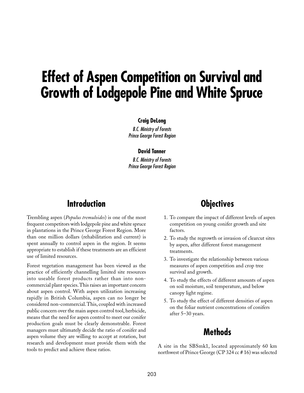# **Effect of Aspen Competition on Survival and Growth of Lodgepole Pine and White Spruce**

#### **Craig DeLong**

B.C. Ministry of Forests Prince George Forest Region

#### **David Tanner**

B.C. Ministry of Forests Prince George Forest Region

# **Introduction**

Trembling aspen (*Populus tremuloides*) is one of the most frequent competitors with lodgepole pine and white spruce in plantations in the Prince George Forest Region. More than one million dollars (rehabilitation and current) is spent annually to control aspen in the region. It seems appropriate to establish if these treatments are an efficient use of limited resources.

Forest vegetation management has been viewed as the practice of efficiently channelling limited site resources into useable forest products rather than into noncommercial plant species. This raises an important concern about aspen control. With aspen utilization increasing rapidly in British Columbia, aspen can no longer be considered non-commercial. This, coupled with increased public concern over the main aspen control tool, herbicide, means that the need for aspen control to meet our conifer production goals must be clearly demonstrable. Forest managers must ultimately decide the ratio of conifer and aspen volume they are willing to accept at rotation, but research and development must provide them with the tools to predict and achieve these ratios.

# **Objectives**

- 1. To compare the impact of different levels of aspen competition on young conifer growth and site factors.
- 2. To study the regrowth or invasion of clearcut sites by aspen, after different forest management treatments.
- 3. To investigate the relationship between various measures of aspen competition and crop tree survival and growth.
- 4. To study the effects of different amounts of aspen on soil moisture, soil temperature, and below canopy light regime.
- 5. To study the effect of different densities of aspen on the foliar nutrient concentrations of conifers after 5–30 years.

## **Methods**

A site in the SBSmk1, located approximately 60 km northwest of Prince George (CP 324 cc # 16) was selected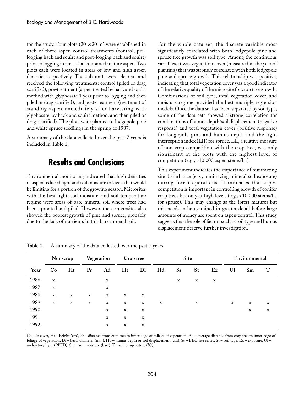for the study. Four plots  $(20 \times 20 \text{ m})$  were established in each of three aspen control treatments (control, prelogging hack and squirt and post-logging hack and squirt) prior to logging in areas that contained mature aspen. Two plots each were located in areas of low and high aspen densities respectively. The sub-units were clearcut and received the following treatments: control (piled or drag scarified); pre-treatment (aspen treated by hack and squirt method with glyphosate 1 year prior to logging and then piled or drag scarified); and post-treatment (treatment of standing aspen immediately after harvesting with glyphosate, by hack and squirt method, and then piled or drag scarified). The plots were planted to lodgepole pine and white spruce seedlings in the spring of 1987.

A summary of the data collected over the past 7 years is included in Table 1.

## **Results and Conclusions**

Environmental monitoring indicated that high densities of aspen reduced light and soil moisture to levels that would be limiting for a portion of the growing season. Microsites with the best light, soil moisture, and soil temperature regime were areas of bare mineral soil where trees had been uprooted and piled. However, these microsites also showed the poorest growth of pine and spruce, probably due to the lack of nutrients in this bare mineral soil.

For the whole data set, the discrete variable most significantly correlated with both lodgepole pine and spruce tree growth was soil type. Among the continuous variables, it was vegetation cover (measured in the year of planting) that was strongly correlated with both lodgepole pine and spruce growth. This relationship was positive, indicating that total vegetation cover was a good indicator of the relative quality of the microsite for crop tree growth. Combinations of soil type, total vegetation cover, and moisture regime provided the best multiple regression models. Once the data set had been separated by soil type, some of the data sets showed a strong correlation for combinations of humus depth/soil displacement (negative response) and total vegetation cover (positive response) for lodgepole pine and humus depth and the light interception index (LII) for spruce. LII, a relative measure of non-crop competition with the crop tree, was only significant in the plots with the highest level of competition (e.g., >10 000 aspen stems/ha).

This experiment indicates the importance of minimizing site disturbance (e.g., minimizing mineral soil exposure) during forest operations. It indicates that aspen competition is important in controlling growth of conifer crop trees but only at high levels (e.g., >10 000 stems/ha for spruce). This may change as the forest matures but this needs to be examined in greater detail before large amounts of money are spent on aspen control. This study suggests that the role of factors such as soil type and humus displacement deserve further investigation.

|      | Non-crop    |             | Vegetation  |             | Crop tree   |             | Site        |             |             |             | Environmental |             |   |
|------|-------------|-------------|-------------|-------------|-------------|-------------|-------------|-------------|-------------|-------------|---------------|-------------|---|
| Year | Co          | Ht          | Pr          | Ad          | Ht          | Di          | Hd          | <b>Ss</b>   | St          | Ex          | U1            | Sm          | T |
| 1986 | $\mathbf X$ |             |             | X           |             |             |             | $\mathbf X$ | $\mathbf X$ | $\mathbf X$ |               |             |   |
| 1987 | $\mathbf X$ |             |             | $\mathbf X$ |             |             |             |             |             |             |               |             |   |
| 1988 | $\mathbf X$ | X           | $\mathbf x$ | X           | X           | X           |             |             |             |             |               |             |   |
| 1989 | $\mathbf X$ | $\mathbf X$ | $\mathbf X$ | X           | $\mathbf X$ | X           | $\mathbf X$ |             | $\mathbf X$ |             | $\mathbf X$   | $\mathbf x$ | X |
| 1990 |             |             |             | X           | $\mathbf X$ | $\mathbf x$ |             |             |             |             |               | X           | X |
| 1991 |             |             |             | X           | X           | X           |             |             |             |             |               |             |   |
| 1992 |             |             |             | X           | X           | х           |             |             |             |             |               |             |   |

Table 1. A summary of the data collected over the past 7 years

Co – % cover, Ht – height (cm), Pr – distance from crop tree to inner edge of foliage of vegetation, Ad – average distance from crop tree to inner edge of foliage of vegetation, Di – basal diameter (mm), Hd – humus depth or soil displacement (cm), Ss – BEC site series, St – soil type, Ex – exposure, UI – understory light (PPFD), Sm – soil moisture (bars),  $T$  – soil temperature (°C).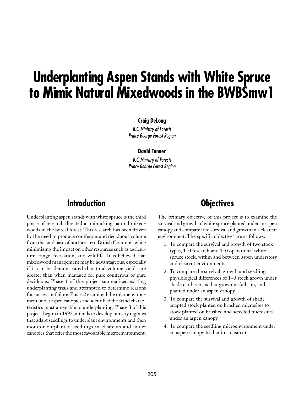# **Underplanting Aspen Stands with White Spruce to Mimic Natural Mixedwoods in the BWBSmw1**

#### **Craig DeLong**

B.C. Ministry of Forests Prince George Forest Region

#### **David Tanner**

B.C. Ministry of Forests Prince George Forest Region

## **Introduction**

Underplanting aspen stands with white spruce is the third phase of research directed at mimicking natural mixedwoods in the boreal forest. This research has been driven by the need to produce coniferous and deciduous volume from the land base of northeastern British Columbia while minimizing the impact on other resources such as agriculture, range, recreation, and wildlife. It is believed that mixedwood management may be advantageous, especially if it can be demonstrated that total volume yields are greater than when managed for pure coniferous or pure deciduous. Phase 1 of this project summarized existing underplanting trials and attempted to determine reasons for success or failure. Phase 2 examined the microenvironment under aspen canopies and identified the stand characteristics most amenable to underplanting. Phase 3 of this project, begun in 1992, intends to develop nursery regimes that adapt seedlings to underplant environments and then monitor outplanted seedlings in clearcuts and under canopies that offer the most favourable microenvironment.

# **Objectives**

The primary objective of this project is to examine the survival and growth of white spruce planted under an aspen canopy and compare it to survival and growth in a clearcut environment. The specific objectives are as follows:

- 1. To compare the survival and growth of two stock types, 1+0 research and 1+0 operational white spruce stock, within and between aspen understory and clearcut environments.
- 2. To compare the survival, growth and seedling physiological differences of 1+0 stock grown under shade cloth versus that grown in full sun, and planted under an aspen canopy.
- 3. To compare the survival and growth of shadeadapted stock planted on brushed microsites to stock planted on brushed and screefed microsites under an aspen canopy.
- 4. To compare the seedling microenvironment under an aspen canopy to that in a clearcut.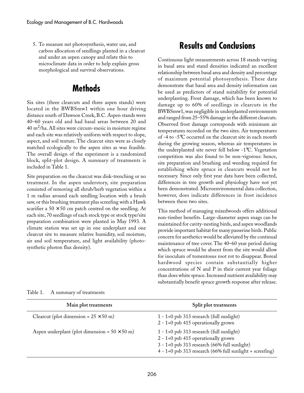5. To measure net photosynthesis, water use, and carbon allocation of seedlings planted in a clearcut and under an aspen canopy and relate this to microclimate data in order to help explain gross morphological and survival observations.

# **Methods**

Six sites (three clearcuts and three aspen stands) were located in the BWBSmw1 within one hour driving distance south of Dawson Creek, B.C. Aspen stands were 40–60 years old and had basal areas between 20 and  $40 \text{ m}^2/\text{ha}$ . All sites were circum-mesic in moisture regime and each site was relatively uniform with respect to slope, aspect, and soil texture. The clearcut sites were as closely matched ecologically to the aspen sites as was feasible. The overall design of the experiment is a randomized block, split-plot design. A summary of treatments is included in Table 1.

Site preparation on the clearcut was disk-trenching or no treatment. In the aspen understory, site preparation consisted of removing all shrub/herb vegetation within a 1 m radius around each seedling location with a brush saw, or this brushing treatment plus screefing with a Hawk scarifier a  $50 \times 50$  cm patch centred on the seedling. At each site, 70 seedlings of each stock type or stock type/site preparation combination were planted in May 1993. A climate station was set up in one underplant and one clearcut site to measure relative humidity, soil moisture, air and soil temperature, and light availability (photosynthetic photon flux density).

# **Results and Conclusions**

Continuous light measurements across 18 stands varying in basal area and stand densities indicated an excellent relationship between basal area and density and percentage of maximum potential photosynthesis. These data demonstrate that basal area and density information can be used as predictors of stand suitability for potential underplanting. Frost damage, which has been known to damage up to 60% of seedlings in clearcuts in the BWBSmw1, was negligible in underplanted environments and ranged from 25–55% damage in the different clearcuts. Observed frost damage corresponds with minimum air temperatures recorded on the two sites. Air temperatures of -4 to -5°C occurred on the clearcut site in each month during the growing season, whereas air temperatures in the underplanted site never fell below -1°C. Vegetation competition was also found to be non-vigorous: hence, site preparation and brushing and weeding required for establishing white spruce in clearcuts would not be necessary. Since only first year data have been collected, differences in tree growth and physiology have not yet been demonstrated. Microenvironmental data collection, however, does indicate differences in frost incidence between these two sites.

This method of managing mixedwoods offers additional non-timber benefits. Large-diameter aspen snags can be maintained for cavity-nesting birds, and aspen woodlands provide important habitat for many passerine birds. Public concern for aesthetics would be alleviated by the continual maintenance of tree cover. The 40–60 year period during which spruce would be absent from the site would allow for inoculum of tomentosus root rot to disappear. Boreal hardwood species contain substantially higher concentrations of N and P in their current year foliage than does white spruce. Increased nutrient availability may substantially benefit spruce growth response after release.

| Main plot treatments                                 | Split plot treatments                                                                                                                                                                               |
|------------------------------------------------------|-----------------------------------------------------------------------------------------------------------------------------------------------------------------------------------------------------|
| Clearcut (plot dimension = $25 \times 50$ m)         | $1 - 1 + 0$ psb 313 research (full sunlight)<br>$2 - 1 + 0$ psb 415 operationally grown                                                                                                             |
| Aspen underplant (plot dimension = $50 \times 50$ m) | $1 - 1 + 0$ psb 313 research (full sunlight)<br>$2 - 1 + 0$ psb 415 operationally grown<br>3 - 1+0 psb 313 research (66% full sunlight)<br>4 - 1+0 psb 313 research (66% full sunlight + screefing) |

Table 1. A summary of treatments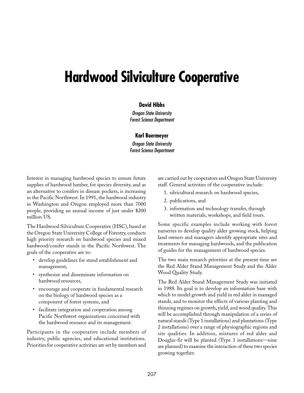# **Hardwood Silviculture Cooperative**

#### **David Hibbs**

Oregon State University Forest Science Department

#### **Karl Buermeyer**

Oregon State University Forest Science Department

Interest in managing hardwood species to ensure future supplies of hardwood lumber, for species diversity, and as an alternative to conifers in disease pockets, is increasing in the Pacific Northwest. In 1991, the hardwood industry in Washington and Oregon employed more than 7000 people, providing an annual income of just under \$200 million US.

The Hardwood Silviculture Cooperative (HSC), based at the Oregon State University College of Forestry, conducts high priority research on hardwood species and mixed hardwood/conifer stands in the Pacific Northwest. The goals of the cooperative are to:

- develop guidelines for stand establishment and management,
- synthesize and disseminate information on hardwood resources,
- encourage and cooperate in fundamental research on the biology of hardwood species as a component of forest systems, and
- facilitate integration and cooperation among Pacific Northwest organizations concerned with the hardwood resource and its management.

Participants in the cooperative include members of industry, public agencies, and educational institutions. Priorities for cooperative activities are set by members and

are carried out by cooperators and Oregon State University staff. General activities of the cooperative include:

- 1. silvicultural research on hardwood species,
- 2. publications, and
- 3. information and technology transfer, through written materials, workshops, and field tours.

Some specific examples include working with forest nurseries to develop quality alder growing stock, helping land owners and managers identify appropriate sites and treatments for managing hardwoods, and the publication of guides for the management of hardwood species.

The two main research priorities at the present time are the Red Alder Stand Management Study and the Alder Wood Quality Study.

The Red Alder Stand Management Study was initiated in 1988. Its goal is to develop an information base with which to model growth and yield in red alder in managed stands, and to monitor the effects of various planting and thinning regimes on growth, yield, and wood quality. This will be accomplished through manipulation of a series of natural stands (Type 1 installations) and plantations (Type 2 installations) over a range of physiographic regions and site qualities. In addition, mixtures of red alder and Douglas-fir will be planted (Type 3 installations—nine are planned) to examine the interaction of these two species growing together.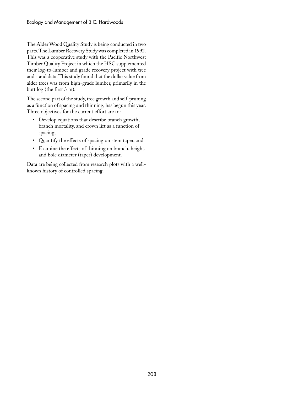The Alder Wood Quality Study is being conducted in two parts. The Lumber Recovery Study was completed in 1992. This was a cooperative study with the Pacific Northwest Timber Quality Project in which the HSC supplemented their log-to-lumber and grade recovery project with tree and stand data. This study found that the dollar value from alder trees was from high-grade lumber, primarily in the butt log (the first 3 m).

The second part of the study, tree growth and self-pruning as a function of spacing and thinning, has begun this year. Three objectives for the current effort are to:

- Develop equations that describe branch growth, branch mortality, and crown lift as a function of spacing,
- Quantify the effects of spacing on stem taper, and
- Examine the effects of thinning on branch, height, and bole diameter (taper) development.

Data are being collected from research plots with a wellknown history of controlled spacing.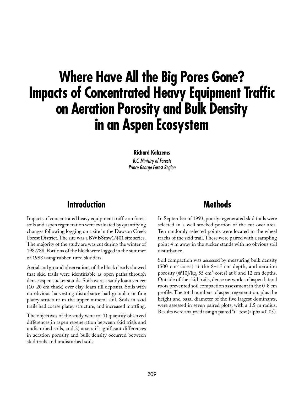# **Where Have All the Big Pores Gone? Impacts of Concentrated Heavy Equipment Traffic on Aeration Porosity and Bulk Density in an Aspen Ecosystem**

#### **Richard Kabzems**

B.C. Ministry of Forests Prince George Forest Region

## **Introduction**

Impacts of concentrated heavy equipment traffic on forest soils and aspen regeneration were evaluated by quantifying changes following logging on a site in the Dawson Creek Forest District. The site was a BWBSmw1/\$01 site series. The majority of the study are was cut during the winter of 1987/88. Portions of the block were logged in the summer of 1988 using rubber-tired skidders.

Aerial and ground observations of the block clearly showed that skid trails were identifiable as open paths through dense aspen sucker stands. Soils were a sandy loam veneer (10–20 cm thick) over clay-loam till deposits. Soils with no obvious harvesting disturbance had granular or fine platey structure in the upper mineral soil. Soils in skid trails had coarse platey structure, and increased mottling.

The objectives of the study were to: 1) quantify observed differences in aspen regeneration between skid trials and undisturbed soils, and 2) assess if significant differences in aeration porosity and bulk density occurred between skid trails and undisturbed soils.

## **Methods**

In September of 1993, poorly regenerated skid trails were selected in a well stocked portion of the cut-over area. Ten randomly selected points were located in the wheel tracks of the skid trail. These were paired with a sampling point 4 m away in the sucker stands with no obvious soil disturbance.

Soil compaction was assessed by measuring bulk density  $(500 \text{ cm}^3 \text{ cores})$  at the 8–15 cm depth, and aeration porosity (@10J/kg, 55 cm<sup>3</sup> cores) at 8 and 12 cm depths. Outside of the skid trails, dense networks of aspen lateral roots prevented soil compaction assessment in the 0-8 cm profile. The total numbers of aspen regeneration, plus the height and basal diameter of the five largest dominants, were assessed in seven paired plots, with a 1.5 m radius. Results were analyzed using a paired "t"-test (alpha = 0.05).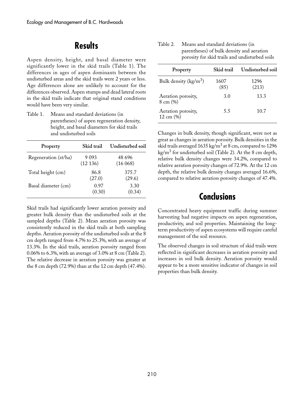## **Results**

Aspen density, height, and basal diameter were significantly lower in the skid trails (Table 1). The differences in ages of aspen dominants between the undisturbed areas and the skid trails were 2 years or less. Age differences alone are unlikely to account for the differences observed. Aspen stumps and dead lateral roots in the skid trails indicate that original stand conditions would have been very similar.

Table 1. Means and standard deviations (in parentheses) of aspen regeneration density, height, and basal diameters for skid trails and undisturbed soils

| Property             | Skid trail         | Undisturbed soil  |
|----------------------|--------------------|-------------------|
| Regeneration (st/ha) | 9 0 9 3<br>(12136) | 48 696<br>(16068) |
| Total height (cm)    | 86.8<br>(27.0)     | 375.7<br>(29.6)   |
| Basal diameter (cm)  | 0.97<br>(0.30)     | 3.30<br>(0.34)    |

Skid trails had significantly lower aeration porosity and greater bulk density than the undisturbed soils at the sampled depths (Table 2). Mean aeration porosity was consistently reduced in the skid trails at both sampling depths. Aeration porosity of the undisturbed soils at the 8 cm depth ranged from 4.7% to 25.3%, with an average of 13.3%. In the skid trails, aeration porosity ranged from 0.06% to 6.3%, with an average of 3.0% at 8 cm (Table 2). The relative decrease in aeration porosity was greater at the 8 cm depth (72.9%) than at the 12 cm depth (47.4%).

Table 2. Means and standard deviations (in parentheses) of bulk density and aeration porosity for skid trails and undisturbed soils

| Property                                    | Skid trail   | Undisturbed soil |
|---------------------------------------------|--------------|------------------|
| Bulk density ( $\text{kg/m}^3$ )            | 1607<br>(85) | 1296<br>(213)    |
| Aeration porosity,<br>$8 \text{ cm } (\% )$ | 3.0          | 13.3             |
| Aeration porosity,<br>$12 \text{ cm } (%)$  | 5.5          | 10.7             |

Changes in bulk density, though significant, were not as great as changes in aeration porosity. Bulk densities in the skid trails averaged 1635 kg/m<sup>3</sup> at 8 cm, compared to 1296 kg/m<sup>3</sup> for undisturbed soil (Table 2). At the 8 cm depth, relative bulk density changes were 34.2%, compared to relative aeration porosity changes of 72.9%. At the 12 cm depth, the relative bulk density changes averaged 16.6%, compared to relative aeration porosity changes of 47.4%.

### **Conclusions**

Concentrated heavy equipment traffic during summer harvesting had negative impacts on aspen regeneration, productivity, and soil properties. Maintaining the longterm productivity of aspen ecosystems will require careful management of the soil resource.

The observed changes in soil structure of skid trails were reflected in significant decreases in aeration porosity and increases in soil bulk density. Aeration porosity would appear to be a more sensitive indicator of changes in soil properties than bulk density.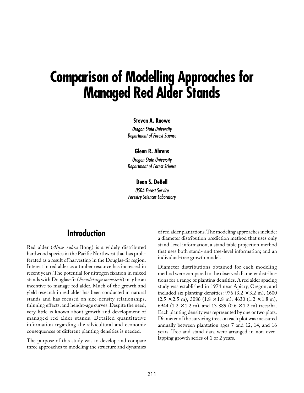# **Comparison of Modelling Approaches for Managed Red Alder Stands**

#### **Steven A. Knowe**

Oregon State University Department of Forest Science

#### **Glenn R. Ahrens**

Oregon State University Department of Forest Science

#### **Dean S. DeBell**

USDA Forest Service Forestry Sciences Laboratory

### **Introduction**

Red alder (*Alnus rubra* Bong) is a widely distributed hardwood species in the Pacific Northwest that has proliferated as a result of harvesting in the Douglas-fir region. Interest in red alder as a timber resource has increased in recent years. The potential for nitrogen fixation in mixed stands with Douglas-fir (*Pseudotsuga menziesii*) may be an incentive to manage red alder. Much of the growth and yield research in red alder has been conducted in natural stands and has focused on size-density relationships, thinning effects, and height-age curves. Despite the need, very little is known about growth and development of managed red alder stands. Detailed quantitative information regarding the silvicultural and economic consequences of different planting densities is needed.

The purpose of this study was to develop and compare three approaches to modeling the structure and dynamics of red alder plantations. The modeling approaches include: a diameter distribution prediction method that uses only stand-level information; a stand table projection method that uses both stand- and tree-level information; and an individual-tree growth model.

Diameter distributions obtained for each modeling method were compared to the observed diameter distributions for a range of planting densities. A red alder spacing study was established in 1974 near Apiary, Oregon, and included six planting densities:  $976$  (3.2  $\times$  3.2 m), 1600  $(2.5 \times 2.5 \text{ m})$ , 3086  $(1.8 \times 1.8 \text{ m})$ , 4630  $(1.2 \times 1.8 \text{ m})$ , 6944 (1.2  $\times$  1.2 m), and 13 889 (0.6  $\times$  1.2 m) trees/ha. Each planting density was represented by one or two plots. Diameter of the surviving trees on each plot was measured annually between plantation ages 7 and 12, 14, and 16 years. Tree and stand data were arranged in non-overlapping growth series of 1 or 2 years.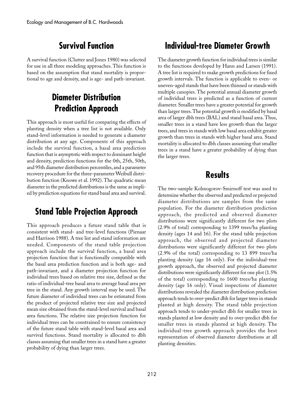# **Survival Function**

A survival function (Clutter and Jones 1980) was selected for use in all three modeling approaches. This function is based on the assumption that stand mortality is proportional to age and density, and is age- and path-invariant.

# **Diameter Distribution Prediction Approach**

This approach is most useful for comparing the effects of planting density when a tree list is not available. Only stand-level information is needed to generate a diameter distribution at any age. Components of this approach include the survival function, a basal area prediction function that is asymptotic with respect to dominant height and density, prediction functions for the 0th, 25th, 50th, and 95th diameter distribution percentiles, and a parameter recovery procedure for the three-parameter Weibull distribution function (Knowe et al. 1992). The quadratic mean diameter in the predicted distributions is the same as implied by prediction equations for stand basal area and survival.

# **Stand Table Projection Approach**

This approach produces a future stand table that is consistent with stand- and tree-level functions (Pienaar and Harrison 1988). A tree list and stand information are needed. Components of the stand table projection approach include the survival function, a basal area projection function that is functionally compatible with the basal area prediction function and is both age- and path-invariant, and a diameter projection function for individual trees based on relative tree size, defined as the ratio of individual-tree basal area to average basal area per tree in the stand. Any growth interval may be used. The future diameter of individual trees can be estimated from the product of projected relative tree size and projected mean size obtained from the stand-level survival and basal area functions. The relative size projection function for individual trees can be constrained to ensure consistency of the future stand table with stand-level basal area and survival functions. Stand mortality is allocated to dbh classes assuming that smaller trees in a stand have a greater probability of dying than larger trees.

# **Individual-tree Diameter Growth**

The diameter growth function for individual trees is similar to the functions developed by Hann and Larsen (1991). A tree list is required to make growth predictions for fixed growth intervals. The function is applicable to even- or uneven-aged stands that have been thinned or stands with multiple canopies. The potential annual diameter growth of individual trees is predicted as a function of current diameter. Smaller trees have a greater potential for growth than larger trees. The potential growth is modified by basal area of larger dbh trees (BAL) and stand basal area. Thus, smaller trees in a stand have less growth than the larger trees, and trees in stands with low basal area exhibit greater growth than trees in stands with higher basal area. Stand mortality is allocated to dbh classes assuming that smaller trees in a stand have a greater probability of dying than the larger trees.

# **Results**

The two-sample Kolmogorov-Smirnoff test was used to determine whether the observed and predicted or projected diameter distributions are samples from the same population. For the diameter distribution prediction approach, the predicted and observed diameter distributions were significantly different for two plots (2.9% of total) corresponding to 1399 trees/ha planting density (ages 14 and 16). For the stand table projection approach, the observed and projected diameter distributions were significantly different for two plots (2.9% of the total) corresponding to 13 899 trees/ha planting density (age 16 only). For the individual-tree growth approach, the observed and projected diameter distributions were significantly different for one plot (1.5% of the total) corresponding to 1600 trees/ha planting density (age 16 only). Visual inspections of diameter distributions revealed the diameter distribution prediction approach tends to over-predict dbh for larger trees in stands planted at high density. The stand table projection approach tends to under-predict dbh for smaller trees in stands planted at low density and to over-predict dbh for smaller trees in stands planted at high density. The individual-tree growth approach provides the best representation of observed diameter distributions at all planting densities.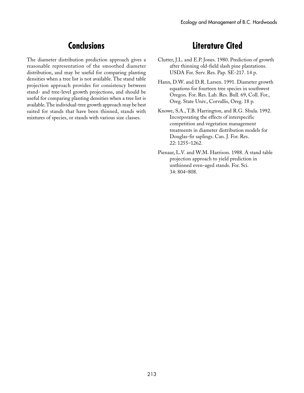# **Conclusions**

The diameter distribution prediction approach gives a reasonable representation of the smoothed diameter distribution, and may be useful for comparing planting densities when a tree list is not available. The stand table projection approach provides for consistency between stand- and tree-level growth projections, and should be useful for comparing planting densities when a tree list is available. The individual-tree growth approach may be best suited for stands that have been thinned, stands with mixtures of species, or stands with various size classes.

# **Literature Cited**

- Clutter, J.L. and E.P. Jones. 1980. Prediction of growth after thinning old-field slash pine plantations. USDA For. Serv. Res. Pap. SE-217. 14 p.
- Hann, D.W. and D.R. Larsen. 1991. Diameter growth equations for fourteen tree species in southwest Oregon. For. Res. Lab. Res. Bull. 69, Coll. For., Oreg. State Univ., Corvallis, Oreg. 18 p.
- Knowe, S.A., T.B. Harrington, and R.G. Shula. 1992. Incorporating the effects of interspecific competition and vegetation management treatments in diameter distribution models for Douglas-fir saplings. Can. J. For. Res. 22: 1255–1262.
- Pienaar, L.V. and W.M. Harrison. 1988. A stand table projection approach to yield prediction in unthinned even-aged stands. For. Sci. 34: 804–808.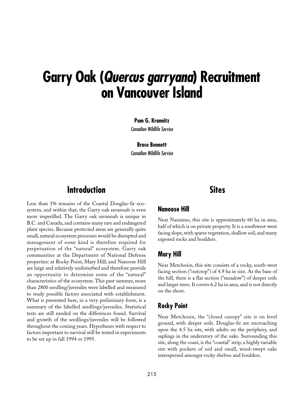# **Garry Oak (Quercus garryana) Recruitment on Vancouver Island**

**Pam G. Krannitz** Canadian Wildlife Service

**Bruce Bennett** Canadian Wildlife Service

## **Introduction**

Less than 1% remains of the Coastal Douglas-fir ecosystem, and within that, the Garry oak savannah is even more imperilled. The Garry oak savannah is unique in B.C. and Canada, and contains many rare and endangered plant species. Because protected areas are generally quite small, natural ecosystem processes would be disrupted and management of some kind is therefore required for perpetuation of the "natural" ecosystem. Garry oak communities at the Department of National Defense properties: at Rocky Point, Mary Hill, and Nanoose Hill are large and relatively undisturbed and therefore provide an opportunity to determine some of the "natural" characteristics of the ecosystem. This past summer, more than 2800 seedling/juveniles were labelled and measured to study possible factors associated with establishment. What is presented here, in a very preliminary form, is a summary of the labelled seedlings/juveniles. Statistical tests are still needed on the differences found. Survival and growth of the seedlings/juveniles will be followed throughout the coming years. Hypotheses with respect to factors important to survival will be tested in experiments to be set up in fall 1994 or 1995.

### **Nanoose Hill**

Near Nanaimo, this site is approximately 60 ha in area, half of which is on private property. It is a southwest-west facing slope, with sparse vegetation, shallow soil, and many exposed rocks and boulders.

**Sites**

### **Mary Hill**

Near Metchosin, this site consists of a rocky, south-west facing section ("outcrop") of 4.9 ha in size. At the base of the hill, there is a flat section ("meadow") of deeper soils and larger trees. It covers 6.2 ha in area, and is not directly on the shore.

### **Rocky Point**

Near Metchosin, the "closed canopy" site is on level ground, with deeper soils. Douglas-fir are encroaching upon the 4.5 ha site, with adults on the periphery, and saplings in the understory of the oaks. Surrounding this site, along the coast, is the "coastal" strip, a highly variable site with pockets of soil and small, wind-swept oaks interspersed amongst rocky shelves and boulders.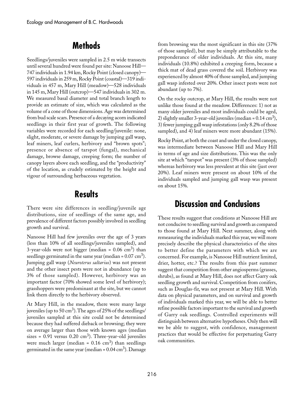## **Methods**

Seedlings/juveniles were sampled in 2.5 m wide transects until several hundred were found per site: Nanoose Hill— 747 individuals in 1.94 km, Rocky Point (closed canopy)— 597 individuals in 259 m, Rocky Point (coastal)—319 individuals in 457 m, Mary Hill (meadow)—528 individuals in 145 m, Mary Hill (outcrop)—547 individuals in 302 m. We measured basal diameter and total branch length to provide an estimate of size, which was calculated as the volume of a cone of those dimensions. Age was determined from bud scale scars. Presence of a decaying acorn indicated seedlings in their first year of growth. The following variables were recorded for each seedling/juvenile: none, slight, moderate, or severe damage by jumping gall wasp, leaf miners, leaf curlers, herbivory and "brown spots"; presence or absence of tarspot (fungal), mechanical damage, browse damage, creeping form; the number of canopy layers above each seedling, and the "productivity" of the location, as crudely estimated by the height and vigour of surrounding herbaceous vegetation.

## **Results**

There were site differences in seedling/juvenile age distributions, size of seedlings of the same age, and prevalence of different factors possibly involved in seedling growth and survival.

Nanoose Hill had few juveniles over the age of 3 years (less than 10% of all seedlings/juveniles sampled), and 3-year-olds were not bigger (median =  $0.06 \text{ cm}^3$ ) than seedlings germinated in the same year (median =  $0.07 \text{ cm}^3$ ). Jumping gall wasp (*Neuroterus saltarius*) was not present and the other insect pests were not in abundance (up to 3% of those sampled). However, herbivory was an important factor (70% showed some level of herbivory); grasshoppers were predominant at the site, but we cannot link them directly to the herbivory observed.

At Mary Hill, in the meadow, there were many large juveniles (up to 50 cm<sup>3</sup>). The ages of 25% of the seedlings/ juveniles sampled at this site could not be determined because they had suffered dieback or browsing; they were on average larger than those with known ages (median sizes =  $0.91$  versus  $0.20 \text{ cm}^3$ ). Three-year-old juveniles were much larger (median =  $0.16 \text{ cm}^3$ ) than seedlings germinated in the same year (median =  $0.04 \text{ cm}^3$ ). Damage from browsing was the most significant in this site (37% of those sampled), but may be simply attributable to the preponderance of older individuals. At this site, many individuals (10.8%) exhibited a creeping form, because a thick mat of dead grass covered the soil. Herbivory was experienced by almost 40% of those sampled, and jumping gall wasp infested over 20%. Other insect pests were not abundant (up to 7%).

On the rocky outcrop, at Mary Hill, the results were not unlike those found at the meadow. Differences: 1) not as many older juveniles and most individuals could be aged, 2) slightly smaller 3-year-old juveniles (median =  $0.14 \text{ cm}^3$ ), 3) fewer jumping gall wasp infestations (only 8.2% of those sampled), and 4) leaf miners were more abundant (15%).

Rocky Point, at both the coast and under the closed canopy, was intermediate between Nanoose Hill and Mary Hill in terms of age and size distributions. This was the only site at which "tarspot" was present (3% of those sampled) whereas herbivory was less prevalent at this site (just over 20%). Leaf miners were present on about 10% of the individuals sampled and jumping gall wasp was present on about 15%.

### **Discussion and Conclusions**

These results suggest that conditions at Nanoose Hill are not conducive to seedling survival and growth as compared to those found at Mary Hill. Next summer, along with remeasuring the individuals marked this year, we will more precisely describe the physical characteristics of the sites to better define the parameters with which we are concerned. For example, is Nanoose Hill nutrient limited, drier, hotter, etc.? The results from this past summer suggest that competition from other angiosperms (grasses, shrubs), as found at Mary Hill, does not affect Garry oak seedling growth and survival. Competition from conifers, such as Douglas-fir, was not present at Mary Hill. With data on physical parameters, and on survival and growth of individuals marked this year, we will be able to better refine possible factors important to the survival and growth of Garry oak seedlings. Controlled experiments will distinguish between alternative hypotheses. Only then will we be able to suggest, with confidence, management practices that would be effective for perpetuating Garry oak communities.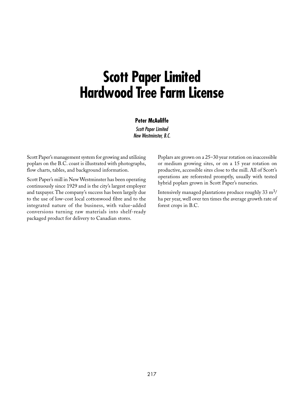# **Scott Paper Limited Hardwood Tree Farm License**

#### **Peter McAuliffe**

Scott Paper Limited New Westminster, B.C.

Scott Paper's management system for growing and utilizing poplars on the B.C. coast is illustrated with photographs, flow charts, tables, and background information.

Scott Paper's mill in New Westminster has been operating continuously since 1929 and is the city's largest employer and taxpayer. The company's success has been largely due to the use of low-cost local cottonwood fibre and to the integrated nature of the business, with value-added conversions turning raw materials into shelf-ready packaged product for delivery to Canadian stores.

Poplars are grown on a 25–30 year rotation on inaccessible or medium growing sites, or on a 15 year rotation on productive, accessible sites close to the mill. All of Scott's operations are reforested promptly, usually with tested hybrid poplars grown in Scott Paper's nurseries.

Intensively managed plantations produce roughly  $33 \text{ m}^3$ / ha per year, well over ten times the average growth rate of forest crops in B.C.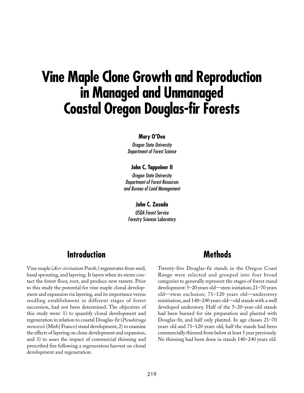# **Vine Maple Clone Growth and Reproduction in Managed and Unmanaged Coastal Oregon Douglas-fir Forests**

#### **Mary O'Dea**

Oregon State University Department of Forest Science

#### **John C. Tappeiner II**

Oregon State University Department of Forest Resources and Bureau of Land Management

**John C. Zasada** USDA Forest Service Forestry Sciences Laboratory

### **Introduction**

Vine maple (*Acer circinatum* Pursh.) regenerates from seed, basal sprouting, and layering. It layers when its stems contact the forest floor, root, and produce new ramets. Prior to this study the potential for vine maple clonal development and expansion via layering, and its importance versus seedling establishment in different stages of forest succession, had not been determined. The objectives of this study were: 1) to quantify clonal development and regeneration in relation to coastal Douglas-fir (*Pseudotsuga mensiezii* (Mirb) Franco) stand development, 2) to examine the effects of layering on clone development and expansion, and 3) to asses the impact of commercial thinning and prescribed fire following a regeneration harvest on clonal development and regeneration.

### **Methods**

Twenty-five Douglas-fir stands in the Oregon Coast Range were selected and grouped into four broad categories to generally represent the stages of forest stand development: 5–20 years old—stem initiation; 21–70 years old—stem exclusion; 71–120 years old—understory reinitiation, and 140–240 years old—old stands with a well developed understory. Half of the 5–20-year-old stands had been burned for site preparation and planted with Douglas-fir, and half only planted. In age classes 21–70 years old and 71–120 years old, half the stands had been commercially thinned from below at least 5 year previously. No thinning had been done in stands 140–240 years old.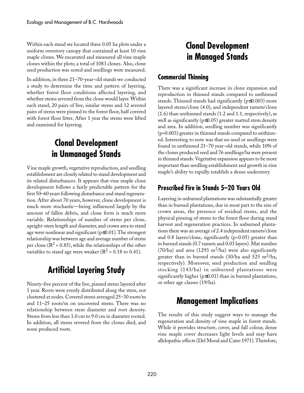Within each stand we located three 0.05 ha plots under a uniform overstory canopy that contained at least 10 vine maple clones. We excavated and measured all vine maple clones within the plots; a total of 1083 clones. Also, clone seed production was noted and seedlings were measured.

In addition, in three 21–70-year-old stands we conducted a study to determine the time and pattern of layering, whether forest floor conditions affected layering, and whether stems severed from the clone would layer. Within each stand, 20 pairs of live, similar stems and 12 severed pairs of stems were pinned to the forest floor, half covered with forest floor litter. After 1 year the stems were lifted and examined for layering.

# **Clonal Development in Unmanaged Stands**

Vine maple growth, vegetative reproduction, and seedling establishment are closely related to stand development and its related disturbances. It appears that vine maple clone development follows a fairly predictable pattern for the first 50–60 years following disturbance and stand regeneration. After about 70 years, however, clone development is much more stochastic—being influenced largely by the amount of fallen debris, and clone form is much more variable. Relationships of number of stems per clone, upright-stem length and diameter, and crown area to stand age were nonlinear and significant (p≤0.01). The strongest relationship was between age and average number of stems per clone ( $\mathbb{R}^2$  = 0.85), while the relationships of the other variables to stand age were weaker ( $R^2$  = 0.18 to 0.41).

# **Artificial Layering Study**

Ninety-five percent of the live, pinned stems layered after 1 year. Roots were evenly distributed along the stem, not clustered at nodes. Covered stems averaged 25–30 roots/m and 11–25 roots/m on uncovered stems. There was no relationship between stem diameter and root density. Stems from less than 1.0 cm to 9.0 cm in diameter rooted. In addition, all stems severed from the clones died, and none produced roots.

# **Clonal Development in Managed Stands**

### **Commercial Thinning**

There was a significant increase in clone expansion and reproduction in thinned stands compared to unthinned stands. Thinned stands had significantly (p≤0.003) more layered stems/clone (4.0), and independent ramets/clone (1.6) than unthinned stands (1.2 and 1.1, respectively), as well as significantly ( $p \le 0.05$ ) greater matted stem density and area. In addition, seedling number was significantly (p=0.003) greater in thinned stands compared to unthinned. Interesting to note was that no seed or seedlings were found in unthinned 21–70 year-old stands, while 10% of the clones produced seed and 76 seedlings/ha were present in thinned stands. Vegetative expansion appears to be more important than seedling establishment and growth in vine maple's ability to rapidly establish a dense understory.

### **Prescribed Fire in Stands 5–20 Years Old**

Layering in unburned plantations was substantially greater than in burned plantations, due in most part to the size of crown areas, the presence of residual stems, and the physical pinning of stems to the forest floor during stand harvest and regeneration practices. In unburned plantations there was an average of 2.4 independent ramets/clone and 0.8 layers/clone, significantly (p<0.05) greater than in burned stands (0.7 ramets and 0.03 layers). Mat number  $(70/ha)$  and area  $(1293 \text{ m}^2/ha)$  were also significantly greater than in burned stands  $(30/ha$  and  $525 \text{ m}^2/ha$ , respectively). Moreover, seed production and seedling stocking (143/ha) in unburned plantations were significantly higher (p≤0.01) than in burned plantations, or other age classes (19/ha).

# **Management Implications**

The results of this study suggest ways to manage the regeneration and density of vine maple in forest stands. While it provides structure, cover, and fall colour, dense vine maple cover decreases light levels and may have allelopathic effects (Del Moral and Cates 1971). Therefore,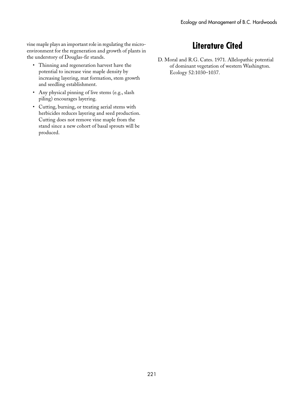vine maple plays an important role in regulating the microenvironment for the regeneration and growth of plants in the understory of Douglas-fir stands.

- Thinning and regeneration harvest have the potential to increase vine maple density by increasing layering, mat formation, stem growth and seedling establishment.
- Any physical pinning of live stems (e.g., slash piling) encourages layering.
- Cutting, burning, or treating aerial stems with herbicides reduces layering and seed production. Cutting does not remove vine maple from the stand since a new cohort of basal sprouts will be produced.

# **Literature Cited**

D. Moral and R.G. Cates. 1971. Allelopathic potential of dominant vegetation of western Washington. Ecology 52:1030–1037.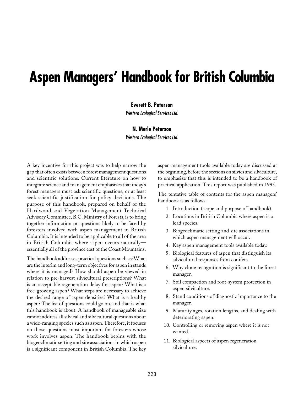# **Aspen Managers' Handbook for British Columbia**

#### **Everett B. Peterson**

Western Ecological Services Ltd.

#### **N. Merle Peterson**

Western Ecological Services Ltd.

A key incentive for this project was to help narrow the gap that often exists between forest management questions and scientific solutions. Current literature on how to integrate science and management emphasizes that today's forest managers must ask scientific questions, or at least seek scientific justification for policy decisions. The purpose of this handbook, prepared on behalf of the Hardwood and Vegetation Management Technical Advisory Committee, B.C. Ministry of Forests, is to bring together information on questions likely to be faced by foresters involved with aspen management in British Columbia. It is intended to be applicable to all of the area in British Columbia where aspen occurs naturally essentially all of the province east of the Coast Mountains.

The handbook addresses practical questions such as: What are the interim and long-term objectives for aspen in stands where it is managed? How should aspen be viewed in relation to pre-harvest silvicultural prescriptions? What is an acceptable regeneration delay for aspen? What is a free-growing aspen? What steps are necessary to achieve the desired range of aspen densities? What is a healthy aspen? The list of questions could go on, and that is what this handbook is about. A handbook of manageable size cannot address all silvical and silvicultural questions about a wide-ranging species such as aspen. Therefore, it focuses on those questions most important for foresters whose work involves aspen. The handbook begins with the biogeoclimatic setting and site associations in which aspen is a significant component in British Columbia. The key aspen management tools available today are discussed at the beginning, before the sections on silvics and silviculture, to emphasize that this is intended to be a handbook of practical application. This report was published in 1995.

The tentative table of contents for the aspen managers' handbook is as follows:

- 1. Introduction (scope and purpose of handbook).
- 2. Locations in British Columbia where aspen is a lead species.
- 3. Biogeoclimatic setting and site associations in which aspen management will occur.
- 4. Key aspen management tools available today.
- 5. Biological features of aspen that distinguish its silvicultural responses from conifers.
- 6. Why clone recognition is significant to the forest manager.
- 7. Soil compaction and root-system protection in aspen silviculture.
- 8. Stand conditions of diagnostic importance to the manager.
- 9. Maturity ages, rotation lengths, and dealing with deteriorating aspen.
- 10. Controlling or removing aspen where it is not wanted.
- 11. Biological aspects of aspen regeneration silviculture.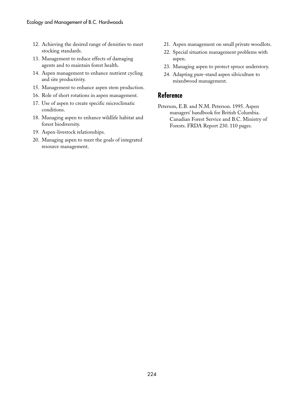- 12. Achieving the desired range of densities to meet stocking standards.
- 13. Management to reduce effects of damaging agents and to maintain forest health.
- 14. Aspen management to enhance nutrient cycling and site productivity.
- 15. Management to enhance aspen stem production.
- 16. Role of short rotations in aspen management.
- 17. Use of aspen to create specific microclimatic conditions.
- 18. Managing aspen to enhance wildlife habitat and forest biodiversity.
- 19. Aspen-livestock relationships.
- 20. Managing aspen to meet the goals of integrated resource management.
- 21. Aspen management on small private woodlots.
- 22. Special situation management problems with aspen.
- 23. Managing aspen to protect spruce understory.
- 24. Adapting pure-stand aspen silviculture to mixedwood management.

### **Reference**

Peterson, E.B. and N.M. Peterson. 1995. Aspen managers' handbook for British Columbia. Canadian Forest Service and B.C. Ministry of Forests. FRDA Report 230. 110 pages.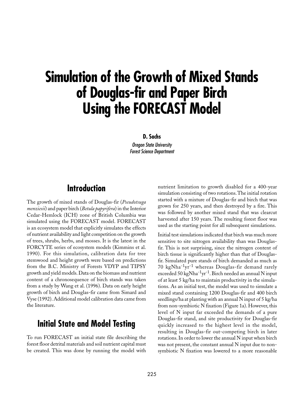# **Simulation of the Growth of Mixed Stands of Douglas-fir and Paper Birch Using the FORECAST Model**

**D. Sachs**

Oregon State University Forest Science Department

## **Introduction**

The growth of mixed stands of Douglas-fir (*Pseudotsuga menziesii*) and paper birch (*Betula papyrifera*) in the Interior Cedar-Hemlock (ICH) zone of British Columbia was simulated using the FORECAST model. FORECAST is an ecosystem model that explicitly simulates the effects of nutrient availability and light competition on the growth of trees, shrubs, herbs, and mosses. It is the latest in the FORCYTE series of ecosystem models (Kimmins et al. 1990). For this simulation, calibration data for tree stemwood and height growth were based on predictions from the B.C. Ministry of Forests VDYP and TIPSY growth and yield models. Data on the biomass and nutrient content of a chronosequence of birch stands was taken from a study by Wang et al. (1996). Data on early height growth of birch and Douglas-fir came from Simard and Vyse (1992). Additional model calibration data came from the literature.

### **Initial State and Model Testing**

To run FORECAST an initial state file describing the forest floor detrital materials and soil nutrient capital must be created. This was done by running the model with nutrient limitation to growth disabled for a 400-year simulation consisting of two rotations. The initial rotation started with a mixture of Douglas-fir and birch that was grown for 250 years, and then destroyed by a fire. This was followed by another mixed stand that was clearcut harvested after 150 years. The resulting forest floor was used as the starting point for all subsequent simulations.

Initial test simulations indicated that birch was much more sensitive to site nitrogen availability than was Douglasfir. This is not surprising, since the nitrogen content of birch tissue is significantly higher than that of Douglasfir. Simulated pure stands of birch demanded as much as 70 kgNha-1yr-1 whereas Douglas-fir demand rarely exceeded 50 kgNha<sup>-1</sup>yr<sup>-1</sup>. Birch needed an annual N input of at least 5 kg/ha to maintain productivity in the simulations. As an initial test, the model was used to simulate a mixed stand containing 1200 Douglas-fir and 400 birch seedlings/ha at planting with an annual N input of 5 kg/ha from non-symbiotic N fixation (Figure 1a). However, this level of N input far exceeded the demands of a pure Douglas-fir stand, and site productivity for Douglas-fir quickly increased to the highest level in the model, resulting in Douglas-fir out-competing birch in later rotations. In order to lower the annual N input when birch was not present, the constant annual N input due to nonsymbiotic N fixation was lowered to a more reasonable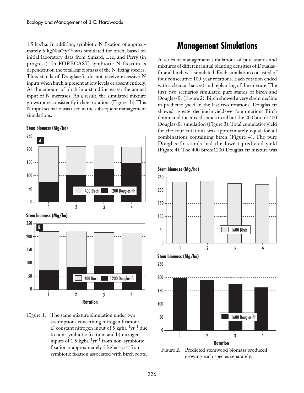1.5 kg/ha. In addition, symbiotic N fixation of approximately 5 kgNha<sup>-1</sup>yr<sup>-1</sup> was simulated for birch, based on initial laboratory data from Simard, Lee, and Perry (in progress). In FORECAST, symbiotic N fixation is dependent on the total leaf biomass of the N-fixing species. Thus stands of Douglas-fir do not receive excessive N inputs when birch is present at low levels or absent entirely. As the amount of birch in a stand increases, the annual input of N increases. As a result, the simulated mixture grows more consistently in later rotations (Figure 1b). This N input scenario was used in the subsequent management simulations.



Figure 1. The same mixture simulation under two assumptions concerning nitrogen fixation: a) constant nitrogen input of 5 kgha<sup>-1</sup>yr<sup>-1</sup> due to non-symbiotic fixation; and b) nitrogen inputs of  $1.5 \text{ kgha}^{-1}\text{yr}^{-1}$  from non-symbiotic fixation + approximately 5 kgha<sup>-1</sup>yr<sup>-1</sup> from symbiotic fixation associated with birch roots.

## **Management Simulations**

A series of management simulations of pure stands and mixtures of different initial planting densities of Douglasfir and birch was simulated. Each simulation consisted of four consecutive 100-year rotations. Each rotation ended with a clearcut harvest and replanting of the mixture. The first two scenarios simulated pure stands of birch and Douglas-fir (Figure 2). Birch showed a very slight decline in predicted yield in the last two rotations. Douglas-fir showed a greater decline in yield over four rotations. Birch dominated the mixed stands in all but the 200 birch:1400 Douglas-fir simulation (Figure 3). Total cumulative yield for the four rotations was approximately equal for all combinations containing birch (Figure 4). The pure Douglas-fir stands had the lowest predicted yield (Figure␣ 4). The 400 birch:1200 Douglas-fir mixture was



Figure 2. Predicted stemwood biomass produced growing each species separately.

**Stem biomass (Mg/ha)**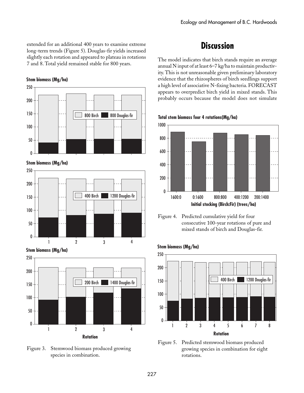extended for an additional 400 years to examine extreme long-term trends (Figure 5). Douglas-fir yields increased slightly each rotation and appeared to plateau in rotations 7 and 8. Total yield remained stable for 800 years.

#### **Stem biomass (Mg/ha)**



**Stem biomass (Mg/ha)**



**Stem biomass (Mg/ha)**



Figure 3. Stemwood biomass produced growing species in combination.

# **Discussion**

The model indicates that birch stands require an average annual N input of at least 6–7 kg/ha to maintain productivity. This is not unreasonable given preliminary laboratory evidence that the rhizospheres of birch seedlings support a high level of associative N-fixing bacteria. FORECAST appears to overpredict birch yield in mixed stands. This probably occurs because the model does not simulate

**Total stem biomass four 4 rotations(Mg/ha)**



Figure 4. Predicted cumulative yield for four consecutive 100-year rotations of pure and mixed stands of birch and Douglas-fir.

#### **Stem biomass (Mg/ha)**



Figure 5. Predicted stemwood biomass produced growing species in combination for eight rotations.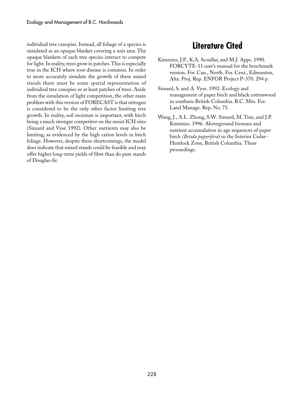individual tree canopies. Instead, all foliage of a species is simulated as an opaque blanket covering a unit area. The opaque blankets of each tree species interact to compete for light. In reality, trees grow in patches. This is especially true in the ICH where root disease is common. In order to more accurately simulate the growth of these mixed stands there must be some spatial representation of individual tree canopies or at least patches of trees. Aside from the simulation of light competition, the other main problem with this version of FORECAST is that nitrogen is considered to be the only other factor limiting tree growth. In reality, soil moisture is important, with birch being a much stronger competitor on the moist ICH sites (Simard and Vyse 1992). Other nutrients may also be limiting, as evidenced by the high cation levels in birch foliage. However, despite these shortcomings, the model does indicate that mixed stands could be feasible and may offer higher long-term yields of fibre than do pure stands of Douglas-fir.

# **Literature Cited**

- Kimmins, J.P., K.A. Scoullar, and M.J. Apps. 1990. FORCYTE-11 user's manual for the benchmark version. For. Can., North. For. Cent., Edmonton, Alta. Proj. Rep. ENFOR Project P-370. 294 p.
- Simard, S. and A. Vyse. 1992. Ecology and management of paper birch and black cottonwood in southern British Columbia. B.C. Min. For. Land Manage. Rep. No. 75.
- Wang, J., A.L. Zhong, S.W. Simard, M. Tsze, and J.P. Kimmins. 1996. Aboveground biomass and nutrient accumulation in age sequences of paper birch *(Betula papyrifera*) in the Interior Cedar-Hemlock Zone, British Columbia. These proceedings.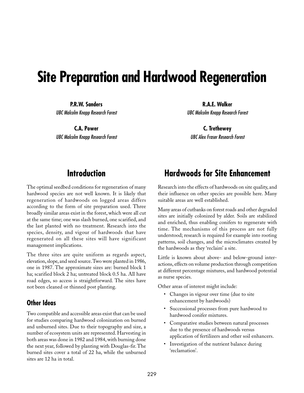# **Site Preparation and Hardwood Regeneration**

**P.R.W. Sanders** UBC Malcolm Knapp Research Forest

**C.A. Power** UBC Malcolm Knapp Research Forest

**R.A.E. Walker** UBC Malcolm Knapp Research Forest

**C. Trethewey** UBC Alex Fraser Research Forest

## **Introduction**

The optimal seedbed conditions for regeneration of many hardwood species are not well known. It is likely that regeneration of hardwoods on logged areas differs according to the form of site preparation used. Three broadly similar areas exist in the forest, which were all cut at the same time; one was slash burned, one scarified, and the last planted with no treatment. Research into the species, density, and vigour of hardwoods that have regenerated on all these sites will have significant management implications.

The three sites are quite uniform as regards aspect, elevation, slope, and seed source. Two were planted in 1986, one in 1987. The approximate sizes are: burned block 1 ha; scarified block 2 ha; untreated block 0.5 ha. All have road edges, so access is straightforward. The sites have not been cleaned or thinned post planting.

### **Other Ideas**

Two compatible and accessible areas exist that can be used for studies comparing hardwood colonization on burned and unburned sites. Due to their topography and size, a number of ecosystem units are represented. Harvesting in both areas was done in 1982 and 1984, with burning done the next year, followed by planting with Douglas-fir. The burned sites cover a total of 22 ha, while the unburned sites are 12 ha in total.

# **Hardwoods for Site Enhancement**

Research into the effects of hardwoods on site quality, and their influence on other species are possible here. Many suitable areas are well established.

Many areas of cutbanks on forest roads and other degraded sites are initially colonized by alder. Soils are stabilized and enriched, thus enabling conifers to regenerate with time. The mechanisms of this process are not fully understood; research is required for example into rooting patterns, soil changes, and the microclimates created by the hardwoods as they 'reclaim' a site.

Little is known about above- and below-ground interactions, effects on volume production through competition at different percentage mixtures, and hardwood potential as nurse species.

Other areas of interest might include:

- Changes in vigour over time (due to site enhancement by hardwoods)
- Successional processes from pure hardwood to hardwood conifer mixtures.
- Comparative studies between natural processes due to the presence of hardwoods versus application of fertilizers and other soil enhancers.
- Investigation of the nutrient balance during 'reclamation'.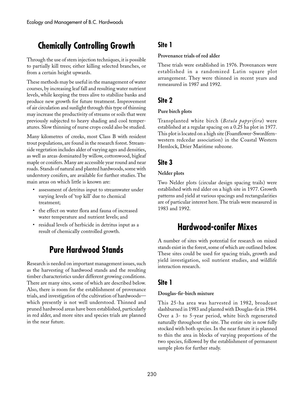# **Chemically Controlling Growth**

Through the use of stem injection techniques, it is possible to partially kill trees; either killing selected branches, or from a certain height upwards.

These methods may be useful in the management of water courses, by increasing leaf fall and resulting water nutrient levels, while keeping the trees alive to stabilize banks and produce new growth for future treatment. Improvement of air circulation and sunlight through this type of thinning may increase the productivity of streams or soils that were previously subjected to heavy shading and cool temperatures. Slow thinning of nurse crops could also be studied.

Many kilometres of creeks, most Class B with resident trout populations, are found in the research forest. Streamside vegetation includes alder of varying ages and densities, as well as areas dominated by willow, cottonwood, bigleaf maple or conifers. Many are accessible year round and near roads. Stands of natural and planted hardwoods, some with understory conifers, are available for further studies. The main areas on which little is known are:

- assessment of detritus input to streamwater under varying levels of 'top kill' due to chemical treatment;
- the effect on water flora and fauna of increased water temperature and nutrient levels; and
- residual levels of herbicide in detritus input as a result of chemically controlled growth.

# **Pure Hardwood Stands**

Research is needed on important management issues, such as the harvesting of hardwood stands and the resulting timber characteristics under different growing conditions. There are many sites, some of which are described below. Also, there is room for the establishment of provenance trials, and investigation of the cultivation of hardwoods which presently is not well understood. Thinned and pruned hardwood areas have been established, particularly in red alder, and more sites and species trials are planned in the near future.

### **Site 1**

#### **Provenance trials of red alder**

These trials were established in 1976. Provenances were established in a randomized Latin square plot arrangement. They were thinned in recent years and remeasured in 1987 and 1992.

### **Site 2**

#### **Pure birch plots**

Transplanted white birch (*Betula papyrifera*) were established at a regular spacing on a 0.25 ha plot in 1977. This plot is located on a high site (Foamflower-Swordfernwestern redcedar association) in the Coastal Western Hemlock, Drier Maritime subzone.

### **Site 3**

#### **Nelder plots**

Two Nelder plots (circular design spacing trails) were established with red alder on a high site in 1977. Growth patterns and yield at various spacings and rectangularities are of particular interest here. The trials were measured in 1983 and 1992.

# **Hardwood-conifer Mixes**

A number of sites with potential for research on mixed stands exist in the forest, some of which are outlined below. These sites could be used for spacing trials, growth and yield investigation, soil nutrient studies, and wildlife interaction research.

### **Site 1**

#### **Douglas-fir-birch mixture**

This 25-ha area was harvested in 1982, broadcast slashburned in 1983 and planted with Douglas-fir in 1984. Over a 3- to 5-year period, white birch regenerated naturally throughout the site. The entire site is now fully stocked with both species. In the near future it is planned to thin the area in blocks of varying proportions of the two species, followed by the establishment of permanent sample plots for further study.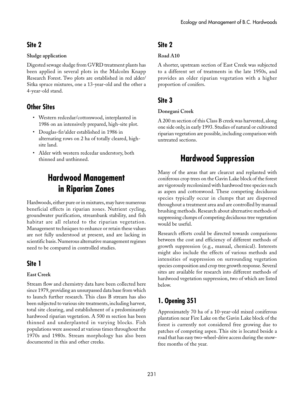### **Site 2**

#### **Sludge application**

Digested sewage sludge from GVRD treatment plants has been applied in several plots in the Malcolm Knapp Research Forest. Two plots are established in red alder/ Sitka spruce mixtures, one a 13-year-old and the other a 4-year-old stand.

### **Other Sites**

- Western redcedar/cottonwood, interplanted in 1986 on an intensively prepared, high-site plot.
- Douglas-fir/alder established in 1986 in alternating rows on 2 ha of totally cleared, highsite land.
- Alder with western redcedar understory, both thinned and unthinned.

# **Hardwood Management in Riparian Zones**

Hardwoods, either pure or in mixtures, may have numerous beneficial effects in riparian zones. Nutrient cycling, groundwater purification, streambank stability, and fish habitat are all related to the riparian vegetation. Management techniques to enhance or retain these values are not fully understood at present, and are lacking in scientific basis. Numerous alternative management regimes need to be compared in controlled studies.

### **Site 1**

### **East Creek**

Stream flow and chemistry data have been collected here since 1979, providing an unsurpassed data base from which to launch further research. This class B stream has also been subjected to various site treatments, including harvest, total site clearing, and establishment of a predominantly hardwood riparian vegetation. A 500 m section has been thinned and underplanted in varying blocks. Fish populations were assessed at various times throughout the 1970s and 1980s. Stream morphology has also been documented in this and other creeks.

### **Site 2**

### **Road A10**

A shorter, upstream section of East Creek was subjected to a different set of treatments in the late 1950s, and provides an older riparian vegetation with a higher proportion of conifers.

### **Site 3**

### **Donegani Creek**

A 200 m section of this Class B creek was harvested, along one side only, in early 1993. Studies of natural or cultivated riparian vegetation are possible, including comparison with untreated sections.

# **Hardwood Suppression**

Many of the areas that are clearcut and replanted with coniferous crop trees on the Gavin Lake block of the forest are vigorously recolonized with hardwood tree species such as aspen and cottonwood. These competing deciduous species typically occur in clumps that are dispersed throughout a treatment area and are controlled by manual brushing methods. Research about alternative methods of suppressing clumps of competing deciduous tree vegetation would be useful.

Research efforts could be directed towards comparisons between the cost and efficiency of different methods of growth suppression (e.g., manual, chemical). Interests might also include the effects of various methods and intensities of suppression on surrounding vegetation species composition and crop tree growth response. Several sites are available for research into different methods of hardwood vegetation suppression, two of which are listed below.

## **1. Opening 351**

Approximately 70 ha of a 10-year-old mixed coniferous plantation near Fire Lake on the Gavin Lake block of the forest is currently not considered free growing due to patches of competing aspen. This site is located beside a road that has easy two-wheel-drive access during the snowfree months of the year.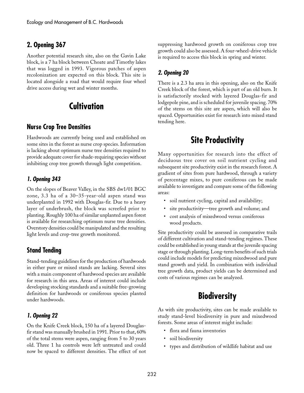### **2. Opening 367**

Another potential research site, also on the Gavin Lake block, is a 7 ha block between Choate and Timothy lakes that was logged in 1993. Vigorous patches of aspen recolonization are expected on this block. This site is located alongside a road that would require four wheel drive access during wet and winter months.

# **Cultivation**

### **Nurse Crop Tree Densities**

Hardwoods are currently being used and established on some sites in the forest as nurse crop species. Information is lacking about optimum nurse tree densities required to provide adequate cover for shade-requiring species without inhibiting crop tree growth through light competition.

#### **1. Opening 343**

On the slopes of Beaver Valley, in the SBS dw1/01 BGC zone, 3.3 ha of a 30–35-year-old aspen stand was underplanted in 1992 with Douglas-fir. Due to a heavy layer of underbrush, the block was screefed prior to planting. Roughly 100 ha of similar unplanted aspen forest is available for researching optimum nurse tree densities. Overstory densities could be manipulated and the resulting light levels and crop-tree growth monitored.

### **Stand Tending**

Stand-tending guidelines for the production of hardwoods in either pure or mixed stands are lacking. Several sites with a main component of hardwood species are available for research in this area. Areas of interest could include developing stocking standards and a suitable free-growing definition for hardwoods or coniferous species planted under hardwoods.

#### **1. Opening 22**

On the Knife Creek block, 150 ha of a layered Douglasfir stand was manually brushed in 1991. Prior to that, 60% of the total stems were aspen, ranging from 5 to 30 years old. Three 1 ha controls were left untreated and could now be spaced to different densities. The effect of not suppressing hardwood growth on coniferous crop tree growth could also be assessed. A four-wheel-drive vehicle is required to access this block in spring and winter.

### **2. Opening 20**

There is a 2.3 ha area in this opening, also on the Knife Creek block of the forest, which is part of an old burn. It is satisfactorily stocked with layered Douglas-fir and lodgepole pine, and is scheduled for juvenile spacing. 70% of the stems on this site are aspen, which will also be spaced. Opportunities exist for research into mixed stand tending here.

# **Site Productivity**

Many opportunities for research into the effect of deciduous tree cover on soil nutrient cycling and subsequent site productivity exist in the research forest. A gradient of sites from pure hardwood, through a variety of percentage mixes, to pure coniferous can be made available to investigate and compare some of the following areas:

- soil nutrient cycling, capital and availability;
- site productivity—tree growth and volume; and
- cost analysis of mixedwood versus coniferous wood products.

Site productivity could be assessed in comparative trails of different cultivation and stand-tending regimes. These could be established in young stands at the juvenile spacing stage or through planting. Long-term benefits of such trials could include models for predicting mixedwood and pure stand growth and yield. In combination with individual tree growth data, product yields can be determined and costs of various regimes can be analyzed.

# **Biodiversity**

As with site productivity, sites can be made available to study stand-level biodiversity in pure and mixedwood forests. Some areas of interest might include:

- flora and fauna inventories
- soil biodiversity
- types and distribution of wildlife habitat and use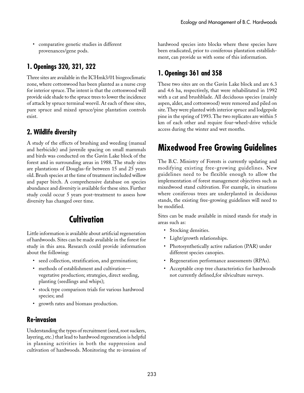• comparative genetic studies in different provenances/gene pods.

### **1. Openings 320, 321, 322**

Three sites are available in the ICHmk3/01 biogeoclimatic zone, where cottonwood has been planted as a nurse crop for interior spruce. The intent is that the cottonwood will provide side shade to the spruce trees to lower the incidence of attack by spruce terminal weevil. At each of these sites, pure spruce and mixed spruce/pine plantation controls exist.

### **2. Wildlife diversity**

A study of the effects of brushing and weeding (manual and herbicide) and juvenile spacing on small mammals and birds was conducted on the Gavin Lake block of the forest and in surrounding areas in 1988. The study sites are plantations of Douglas-fir between 15 and 25 years old. Brush species at the time of treatment included willow and paper birch. A comprehensive database on species abundance and diversity is available for these sites. Further study could occur 5 years post-treatment to assess how diversity has changed over time.

# **Cultivation**

Little information is available about artificial regeneration of hardwoods. Sites can be made available in the forest for study in this area. Research could provide information about the following:

- seed collection, stratification, and germination;
- methods of establishment and cultivationvegetative production; strategies, direct seeding, planting (seedlings and whips);
- stock type comparison trials for various hardwood species; and
- growth rates and biomass production.

### **Re-invasion**

Understanding the types of recruitment (seed, root suckers, layering, etc.) that lead to hardwood regeneration is helpful in planning activities in both the suppression and cultivation of hardwoods. Monitoring the re-invasion of hardwood species into blocks where these species have been eradicated, prior to coniferous plantation establishment, can provide us with some of this information.

### **1. Openings 361 and 358**

These two sites are on the Gavin Lake block and are 6.3 and 4.6 ha, respectively, that were rehabilitated in 1992 with a cat and brushblade. All deciduous species (mainly aspen, alder, and cottonwood) were removed and piled on site. They were planted with interior spruce and lodgepole pine in the spring of 1993. The two replicates are within 5 km of each other and require four-wheel-drive vehicle access during the winter and wet months.

# **Mixedwood Free Growing Guidelines**

The B.C. Ministry of Forests is currently updating and modifying existing free-growing guidelines. New guidelines need to be flexible enough to allow the implementation of forest management objectives such as mixedwood stand cultivation. For example, in situations where coniferous trees are underplanted in deciduous stands, the existing free-growing guidelines will need to be modified.

Sites can be made available in mixed stands for study in areas such as:

- Stocking densities.
- Light/growth relationships.
- Photosynthetically active radiation (PAR) under different species canopies.
- Regeneration performance assessments (RPAs).
- Acceptable crop tree characteristics for hardwoods not currently defined,for silviculture surveys.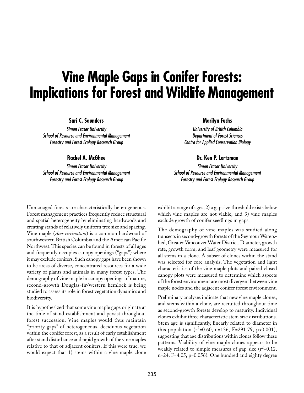# **Vine Maple Gaps in Conifer Forests: Implications for Forest and Wildlife Management**

#### **Sari C. Saunders**

Simon Fraser University School of Resource and Environmental Management Forestry and Forest Ecology Research Group

**Rachel A. McGhee**

Simon Fraser University School of Resource and Environmental Management Forestry and Forest Ecology Research Group

#### **Marilyn Fuchs**

University of British Columbia Department of Forest Sciences Centre for Applied Conservation Biology

#### **Dr. Ken P. Lertzman**

Simon Fraser University School of Resource and Environmental Management Forestry and Forest Ecology Research Group

Unmanaged forests are characteristically heterogeneous. Forest management practices frequently reduce structural and spatial heterogeneity by eliminating hardwoods and creating stands of relatively uniform tree size and spacing. Vine maple (*Acer circinatum*) is a common hardwood of southwestern British Columbia and the American Pacific Northwest. This species can be found in forests of all ages and frequently occupies canopy openings ("gaps") where it may exclude conifers. Such canopy gaps have been shown to be areas of diverse, concentrated resources for a wide variety of plants and animals in many forest types. The demography of vine maple in canopy openings of mature, second-growth Douglas-fir/western hemlock is being studied to assess its role in forest vegetation dynamics and biodiversity.

It is hypothesized that some vine maple gaps originate at the time of stand establishment and persist throughout forest succession. Vine maples would thus maintain "priority gaps" of heterogeneous, deciduous vegetation within the conifer forest, as a result of early establishment after stand disturbance and rapid growth of the vine maples relative to that of adjacent conifers. If this were true, we would expect that 1) stems within a vine maple clone

exhibit a range of ages, 2) a gap size threshold exists below which vine maples are not viable, and 3) vine maples exclude growth of conifer seedlings in gaps.

The demography of vine maples was studied along transects in second-growth forests of the Seymour Watershed, Greater Vancouver Water District. Diameter, growth rate, growth form, and leaf geometry were measured for all stems in a clone. A subset of clones within the stand was selected for core analysis. The vegetation and light characteristics of the vine maple plots and paired closed canopy plots were measured to determine which aspects of the forest environment are most divergent between vine maple nodes and the adjacent conifer forest environment.

Preliminary analyses indicate that new vine maple clones, and stems within a clone, are recruited throughout time as second-growth forests develop to maturity. Individual clones exhibit three characteristic stem size distributions. Stem age is significantly, linearly related to diameter in this population  $(r^2=0.60, n=136, F=291.79, p<0.001)$ , suggesting that age distributions within clones follow these patterns. Viability of vine maple clones appears to be weakly related to simple measures of gap size  $(r^2=0.12)$ , n=24, F=4.05, p=0.056). One hundred and eighty degree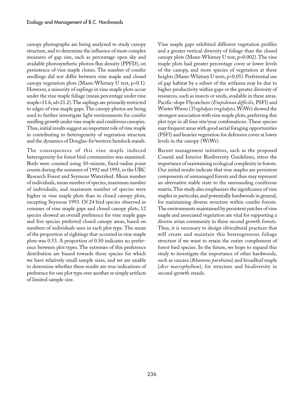canopy photographs are being analyzed to study canopy structure, and to determine the influence of more complex measures of gap size, such as percentage open sky and available photosynthetic photon flux density (PPFD), on persistence of vine maple clones. The number of conifer seedlings did not differ between vine maple and closed canopy vegetation plots (Mann-Whitney U test, p>0.1). However, a minority of saplings in vine maple plots occur under the vine maple foliage (mean percentage under vine maple=11.6, sd=21.2). The saplings are primarily restricted to edges of vine maple gaps. The canopy photos are being used to further investigate light environments for conifer seedling growth under vine maple and coniferous canopies. Thus, initial results suggest an important role of vine maple in contributing to heterogeneity of vegetation structure and the dynamics of Douglas-fir/western hemlock stands.

The consequences of this vine maple induced heterogeneity for forest bird communities was examined. Birds were counted using 10-minute, fixed-radius point counts during the summers of 1992 and 1993, in the UBC Research Forest and Seymour Watershed. Mean number of individuals, mean number of species, maximum number of individuals, and maximum number of species were higher in vine maple plots than in closed canopy plots, excepting Seymour 1993. Of 24 bird species observed in censuses of vine maple gaps and closed canopy plots, 12 species showed an overall preference for vine maple gaps and five species preferred closed canopy areas, based on numbers of individuals seen in each plot type. The mean of the proportion of sightings that occurred in vine maple plots was 0.53. A proportion of 0.50 indicates no preference between plot types. The extremes of this preference distribution are biased towards those species for which we have relatively small sample sizes, and we are unable to determine whether these results are true indications of preference for one plot type over another or simply artifacts of limited sample size.

Vine maple gaps exhibited different vegetation profiles and a greater vertical diversity of foliage than the closed canopy plots (Mann-Whitney U test, p=0.002). The vine maple plots had greater percentage cover at lower levels of the canopy, and more species of vegetation at these heights (Mann-Whitney U tests, p<0.05). Preferential use of gap habitat by a subset of the avifauna may be due to higher productivity within gaps or the greater diversity of resources, such as insects or seeds, available in these areas. Pacific-slope Flycatchers (*Empidonax difficilis*, PSFl) and Winter Wrens (*Troglodytes troglodytes,* WiWr) showed the strongest association with vine maple plots, preferring this plot type in all four site/year combinations. These species may frequent areas with good aerial foraging opportunities (PSFl) and heavier vegetation for defensive cover at lower levels in the canopy (WiWr).

Recent management initiatives, such as the proposed Coastal and Interior Biodiversity Guidelines, stress the importance of maintaining ecological complexity in forests. Our initial results indicate that vine maples are persistent components of unmanaged forests and thus may represent an alternative stable state to the surrounding coniferous matrix. This study also emphasizes the significance of vine maples in particular, and potentially hardwoods in general, for maintaining diverse structure within conifer forests. The environments maintained by persistent patches of vine maple and associated vegetation are vital for supporting a diverse avian community in these second growth forests. Thus, it is necessary to design silvicultural practices that will create and maintain this heterogeneous foliage structure if we want to retain the entire complement of forest bird species. In the future, we hope to expand this study to investigate the importance of other hardwoods, such as cascara (*Rhamnus purshiana*) and broadleaf maple (*Acer macrophyllum*), for structure and biodiversity in second-growth stands.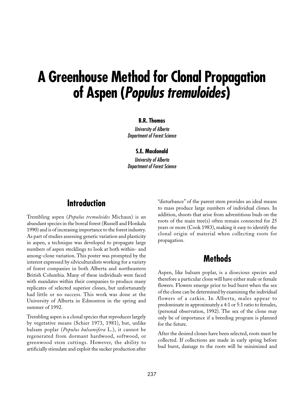# **A Greenhouse Method for Clonal Propagation of Aspen (Populus tremuloides)**

#### **B.R. Thomas**

University of Alberta Department of Forest Science

#### **S.E. Macdonald**

University of Alberta Department of Forest Science

## **Introduction**

Trembling aspen (*Populus tremuloides* Michaux) is an abundant species in the boreal forest (Russell and Honkala 1990) and is of increasing importance to the forest industry. As part of studies assessing genetic variation and plasticity in aspen, a technique was developed to propagate large numbers of aspen stecklings to look at both within- and among-clone variation. This poster was prompted by the interest expressed by silviculturalists working for a variety of forest companies in both Alberta and northeastern British Columbia. Many of these individuals were faced with mandates within their companies to produce many replicates of selected superior clones, but unfortunately had little or no success. This work was done at the University of Alberta in Edmonton in the spring and summer of 1992.

Trembling aspen is a clonal species that reproduces largely by vegetative means (Schier 1973, 1981), but, unlike balsam poplar (*Populus balsamifera* L.), it cannot be regenerated from dormant hardwood, softwood, or greenwood stem cuttings. However, the ability to artificially stimulate and exploit the sucker production after

"disturbance" of the parent stem provides an ideal means to mass produce large numbers of individual clones. In addition, shoots that arise from adventitious buds on the roots of the main tree(s) often remain connected for 25 years or more (Cook 1983), making it easy to identify the clonal origin of material when collecting roots for propagation.

### **Methods**

Aspen, like balsam poplar, is a dioecious species and therefore a particular clone will have either male or female flowers. Flowers emerge prior to bud burst when the sex of the clone can be determined by examining the individual flowers of a catkin. In Alberta, males appear to predominate in approximately a 4:1 or 5:1 ratio to females, (personal observation, 1992). The sex of the clone may only be of importance if a breeding program is planned for the future.

After the desired clones have been selected, roots must be collected. If collections are made in early spring before bud burst, damage to the roots will be minimized and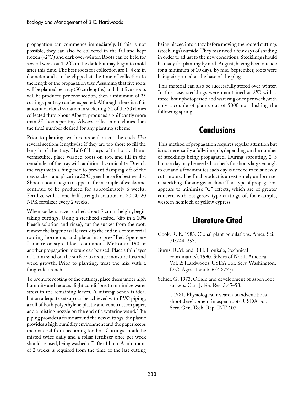propagation can commence immediately. If this is not possible, they can also be collected in the fall and kept frozen (-2°C) and dark over-winter. Roots can be held for several weeks at 1-2°C in the dark but may begin to mold after this time. The best roots for collection are 1–4 cm in diameter and can be clipped at the time of collection to the length of the propagation tray. Assuming that five roots will be planted per tray (50 cm lengths) and that five shoots will be produced per root section, then a minimum of 25 cuttings per tray can be expected. Although there is a fair amount of clonal variation in suckering, 51 of the 53 clones collected throughout Alberta produced significantly more than 25 shoots per tray. Always collect more clones than the final number desired for any planting scheme.

Prior to planting, wash roots and re-cut the ends. Use several sections lengthwise if they are too short to fill the length of the tray. Half-fill trays with horticultural vermiculite, place washed roots on top, and fill in the remainder of the tray with additional vermiculite. Drench the trays with a fungicide to prevent damping off of the new suckers and place in a 22°C greenhouse for best results. Shoots should begin to appear after a couple of weeks and continue to be produced for approximately 6 weeks. Fertilize with a one-half strength solution of 20-20-20 NPK fertilizer every 2 weeks.

When suckers have reached about 5 cm in height, begin taking cuttings. Using a sterilized scalpel (dip in a 10% bleach solution and rinse), cut the sucker from the root, remove the larger basal leaves, dip the end in a commercial rooting hormone, and place into pre-filled Spencer-Lemaire or styro-block containers. Metromix 190 or another propagation mixture can be used. Place a thin layer of 1 mm sand on the surface to reduce moisture loss and weed growth. Prior to planting, treat the mix with a fungicide drench.

To promote rooting of the cuttings, place them under high humidity and reduced light conditions to minimize water stress in the remaining leaves. A misting bench is ideal but an adequate set-up can be achieved with PVC piping, a roll of both polyethylene plastic and construction paper, and a misting nozzle on the end of a watering wand. The piping provides a frame around the new cuttings, the plastic provides a high humidity environment and the paper keeps the material from becoming too hot. Cuttings should be misted twice daily and a foliar fertilizer once per week should be used, being washed off after 1 hour. A minimum of 2 weeks is required from the time of the last cutting being placed into a tray before moving the rooted cuttings (stecklings) outside. They may need a few days of shading in order to adjust to the new conditions. Stecklings should be ready for planting by mid-August, having been outside for a minimum of 10 days. By mid-September, roots were being air pruned at the base of the plugs.

This material can also be successfully stored over-winter. In this case, stecklings were maintained at 2°C with a three-hour photoperiod and watering once per week, with only a couple of plants out of 5000 not flushing the following spring.

# **Conclusions**

This method of propagation requires regular attention but is not necessarily a full-time job, depending on the number of stecklings being propagated. During sprouting, 2–3 hours a day may be needed to check for shoots large enough to cut and a few minutes each day is needed to mist newly cut sprouts. The final product is an extremely uniform set of stecklings for any given clone. This type of propagation appears to minimize "C" effects, which are of greater concern with hedgerow-type cuttings of, for example, western hemlock or yellow cypress.

# **Literature Cited**

- Cook, R. E. 1983. Clonal plant populations. Amer. Sci. 71:244–253.
- Burns, R.M. and B.H. Honkala, (technical coordinators). 1990. Silvics of North America. Vol. 2: Hardwoods. USDA For. Serv. Washington, D.C. Agric. handb. 654 877 p.
- Schier, G. 1973. Origin and development of aspen root suckers. Can. J. For. Res. 3:45–53.
	- \_\_\_\_\_. 1981. Physiological research on adventitious shoot development in aspen roots. USDA For. Serv. Gen. Tech. Rep. INT-107.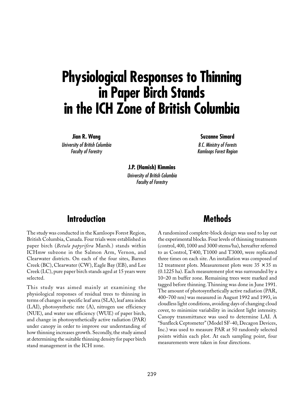# **Physiological Responses to Thinning in Paper Birch Stands in the ICH Zone of British Columbia**

**Jian R. Wang**

University of British Columbia Faculty of Forestry

**Suzanne Simard**

B.C. Ministry of Forests Kamloops Forest Region

**J.P. (Hamish) Kimmins** University of British Columbia Faculty of Forestry

## **Introduction**

The study was conducted in the Kamloops Forest Region, British Columbia, Canada. Four trials were established in paper birch (*Betula papyrifera* Marsh.) stands within ICHmw subzone in the Salmon Arm, Vernon, and Clearwater districts. On each of the four sites, Barnes Creek (BC), Clearwater (CW), Eagle Bay (EB), and Lee Creek (LC), pure paper birch stands aged at 15 years were selected.

This study was aimed mainly at examining the physiological responses of residual trees to thinning in terms of changes in specific leaf area (SLA), leaf area index (LAI), photosynthetic rate (A), nitrogen use efficiency (NUE), and water use efficiency (WUE) of paper birch, and change in photosynthetically active radiation (PAR) under canopy in order to improve our understanding of how thinning increases growth. Secondly, the study aimed at determining the suitable thinning density for paper birch stand management in the ICH zone.

## **Methods**

A randomized complete-block design was used to lay out the experimental blocks. Four levels of thinning treatments (control, 400, 1000 and 3000 stems/ha), hereafter referred to as Control, T400, T1000 and T3000, were replicated three times on each site. An installation was composed of 12 treatment plots. Measurement plots were  $35 \times 35$  m (0.1225 ha). Each measurement plot was surrounded by a 10–20 m buffer zone. Remaining trees were marked and tagged before thinning. Thinning was done in June 1991. The amount of photosynthetically active radiation (PAR, 400–700 nm) was measured in August 1992 and 1993, in cloudless light conditions, avoiding days of changing cloud cover, to minimize variability in incident light intensity. Canopy transmittance was used to determine LAI. A "Sunfleck Ceptometer" (Model SF-40, Decagon Devices, Inc.) was used to measure PAR at 50 randomly selected points within each plot. At each sampling point, four measurements were taken in four directions.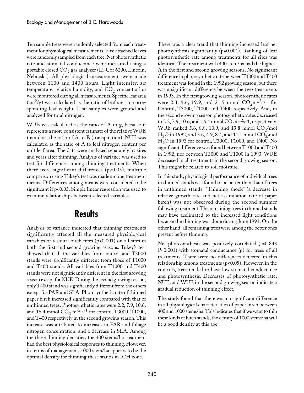Ten sample trees were randomly selected from each treatment for physiological measurements. Five attached leaves were randomly sampled from each tree. Net photosynthetic rate and stomatal conductance were measured using a portable closed  $CO_2$  gas analyzer (Li-Cor 6200, Lincoln, Nebraska). All physiological measurements were made between 1100 and 1400 hours. Light intensity, air temperature, relative humidity, and  $CO<sub>2</sub>$  concentration were monitored during all measurements. Specific leaf area  $\rm (cm^2/g)$  was calculated as the ratio of leaf area to corresponding leaf weight. Leaf samples were ground and analyzed for total nitrogen.

WUE was calculated as the ratio of A to g, because it represents a more consistent estimate of the relative WUE than does the ratio of  $A$  to  $E$  (transpiration). NUE was calculated as the ratio of A to leaf nitrogen content per unit leaf area. The data were analyzed separately by sites and years after thinning. Analysis of variance was used to test for differences among thinning treatments. When there were significant differences ( $p$ <0.05), multiple comparison using Tukey's test was made among treatment means. Differences among means were considered to be significant if p<0.05. Simple linear regression was used to examine relationships between selected variables.

## **Results**

Analysis of variance indicated that thinning treatments significantly affected all the measured physiological variables of residual birch trees  $(p<0.001)$  on all sites in both the first and second growing seasons. Tukey's test showed that all the variables from control and T3000 stands were significantly different from those of T1000 and T400 stands. All variables from T1000 and T400 stands were not significantly different in the first growing season except for NUE. During the second growing season, only T400 stand was significantly different from the others except for PAR and SLA. Photosynthetic rate of thinned paper birch increased significantly compared with that of unthinned trees. Photosynthetic rates were 2.2, 7.9, 10.6, and 16.4 mmol  $CO_2$  m<sup>-2</sup> s<sup>-1</sup> for control, T3000, T1000, and T400 respectively in the second growing season. This increase was attributed to increases in PAR and foliage nitrogen concentration, and a decrease in SLA. Among the three thinning densities, the 400 stems/ha treatment had the best physiological responses to thinning. However, in terms of management, 1000 stem/ha appears to be the optimal density for thinning these stands in ICH zone.

There was a clear trend that thinning increased leaf net photosynthesis significantly (p=0.001). Ranking of leaf photosynthetic rate among treatments for all sites was identical. The treatment with 400 stem/ha had the highest A in the first and second growing seasons. No significant difference in photosynthetic rate between T1000 and T400 treatment was found in the 1992 growing season, but there was a significant difference between the two treatments in 1993. In the first growing season, photosynthetic rates were 2.3, 9.6, 19.9, and 21.5 mmol  $CO_2$ m<sup>-2</sup>s-1 for Control, T3000, T1000 and T400 respectively. And, in the second growing season photosynthetic rates decreased to 2.2, 7.9, 10.6, and 16.4 mmol  $CO<sub>2</sub>$ m<sup>-2</sup>s-1, respectively. WUE ranked 5.6, 8.8, 10.9, and 13.8 mmol  $CO_2/mol$  $H_2O$  in 1992, and 3.6, 4.9, 8.4, and 11.1 mmol  $CO_{2/}$ mol  $H_2O$  in 1993 for control, T3000, T1000, and T400. No significant difference was found between T1000 and T400 in 1992, nor between T3000 and T1000 in 1993. WUE decreased in all treatments in the second growing season. This might be related to soil moisture.

In this study, physiological performance of individual trees in thinned stands was found to be better than that of trees in unthinned stands. "Thinning shock" (a decrease in relative growth rate and net assimilation rate of paper birch) was not observed during the second summer following treatment. The remaining trees in thinned stands may have acclimated to the increased light conditions because the thinning was done during June 1991. On the other hand, all remaining trees were among the better ones present before thinning.

Net photosynthesis was positively correlated (r=0.843 P<0.001) with stomatal conductance (g) for trees of all treatments. There were no differences detected in this relationship among treatments (p<0.05). However, in the controls, trees tended to have low stomatal conductance and photosynthesis. Decreases of photosynthetic rate, NUE, and WUE in the second growing season indicate a gradual reduction of thinning effect.

The study found that there was no significant difference in all physiological characteristics of paper birch between 400 and 1000 stems/ha. This indicates that if we want to thin these kinds of birch stands, the density of 1000␣ stems/ha will be a good density at this age.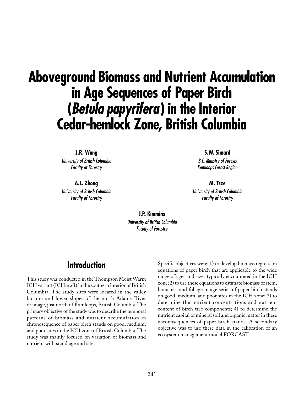# **Aboveground Biomass and Nutrient Accumulation in Age Sequences of Paper Birch (Betula papyrifera) in the Interior Cedar-hemlock Zone, British Columbia**

**J.R. Wang** University of British Columbia Faculty of Forestry

**A.L. Zhong** University of British Columbia Faculty of Forestry

**S.W. Simard**

B.C. Ministry of Forests Kamloops Forest Region

**M. Tsze** University of British Columbia Faculty of Forestry

**J.P. Kimmins** University of British Columbia Faculty of Forestry

## **Introduction**

This study was conducted in the Thompson Moist Warm ICH variant (ICHmw3) in the southern interior of British Columbia. The study sites were located in the valley bottom and lower slopes of the north Adams River drainage, just north of Kamloops, British Columbia. The primary objective of the study was to describe the temporal patterns of biomass and nutrient accumulation in chronosequence of paper birch stands on good, medium, and poor sites in the ICH zone of British Columbia. The study was mainly focused on variation of biomass and nutrient with stand age and site.

Specific objectives were: 1) to develop biomass regression equations of paper birch that are applicable to the wide range of ages and sizes typically encountered in the ICH zone; 2) to use these equations to estimate biomass of stem, branches, and foliage in age series of paper birch stands on good, medium, and poor sites in the ICH zone; 3) to determine the nutrient concentrations and nutrient content of birch tree components; 4) to determine the nutrient capital of mineral soil and organic matter in these chronosequences of paper birch stands. A secondary objective was to use these data in the calibration of an ecosystem management model FORCAST.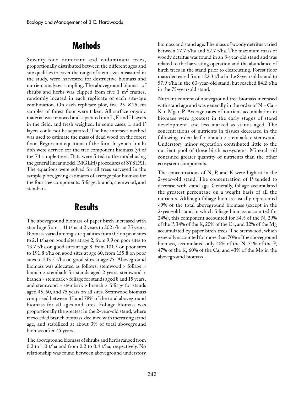## **Methods**

Seventy-four dominant and codominant trees, proportionally distributed between the different ages and site qualities to cover the range of stem sizes measured in the study, were harvested for destructive biomass and nutrient analyses sampling. The aboveground biomass of shrubs and herbs was clipped from five 1  $m<sup>2</sup>$  frames, randomly located in each replicate of each site-age combination. On each replicate plot, five  $25 \times 25$  cm samples of forest floor were taken. All surface organic material was removed and separated into L, F, and H layers in the field, and fresh weighed. In some cases, L and F layers could not be separated. The line intersect method was used to estimate the mass of dead wood on the forest floor. Regression equations of the form  $\ln y = a + b \times \ln y$ dbh were derived for the tree component biomass (y) of the 74 sample trees. Data were fitted to the model using the general linear model (MGLH) procedures of SYSTAT. The equations were solved for all trees surveyed in the sample plots, giving estimates of average plot biomass for the four tree components: foliage, branch, stemwood, and stembark.

## **Results**

The aboveground biomass of paper birch increased with stand age from 1.41 t/ha at 2 years to 202 t/ha at 75 years. Biomass varied among site qualities from 0.5 on poor sites to 2.1 t/ha on good sites at age 2, from 9.9 on poor sites to 13.7 t/ha on good sites at age 8, from 101.5 on poor sites to 191.8 t/ha on good sites at age 60, from 155.8 on poor sites to 233.5 t/ha on good sites at age 75. Aboveground biomass was allocated as follows: stemwood > foliage > branch > stembark for stands aged 2 years, stemwood > branch > stembark > foliage for stands aged 8 and 15 years, and stemwood > stembark > branch > foliage for stands aged 45, 60, and 75 years on all sites. Stemwood biomass comprised between 45 and 78% of the total aboveground biomass for all ages and sites. Foliage biomass was proportionally the greatest in the 2-year-old stand, where it exceeded branch biomass, declined with increasing stand age, and stabilized at about 3% of total aboveground biomass after 45 years.

The aboveground biomass of shrubs and herbs ranged from 0.2 to 1.0 t/ha and from 0.2 to 0.4 t/ha, respectively. No relationship was found between aboveground understory biomass and stand age. The mass of woody detritus varied between 17.7 t/ha and 62.7 t/ha. The maximum mass of woody detritus was found in an 8-year-old stand and was related to the harvesting operation and the abundance of birch trees in the stand prior to clearcutting. Forest floor mass decreased from 122.3 t/ha in the 8-year-old stand to 57.9 t/ha in the 60-year-old stand, but reached 84.2 t/ha in the 75-year-old stand.

Nutrient content of aboveground tree biomass increased with stand age and was generally in the order of  $N > Ca$  $K$  >  $Mg$  > P. Average rates of nutrient accumulation in biomass were greatest in the early stages of stand development, and less marked as stands aged. The concentrations of nutrients in tissues decreased in the following order: leaf > branch > stembark > stemwood. Understory minor vegetation contributed little to the nutrient pool of these birch ecosystems. Mineral soil contained greater quantity of nutrients than the other ecosystem components.

The concentrations of N, P, and K were highest in the 2-year-old stand. The concentration of P tended to decrease with stand age. Generally, foliage accumulated the greatest percentage on a weight basis of all the nutrients. Although foliage biomass usually represented <9% of the total aboveground biomass (except in the 2-year-old stand in which foliage biomass accounted for 24%), this component accounted for 34% of the N, 29% of the P, 34% of the K, 20% of the Ca, and 32% of the Mg accumulated by paper birch trees. The stemwood, which generally accounted for more than 70% of the aboveground biomass, accumulated only 48% of the N, 51% of the P, 47% of the K, 60% of the Ca, and 43% of the Mg in the aboveground biomass.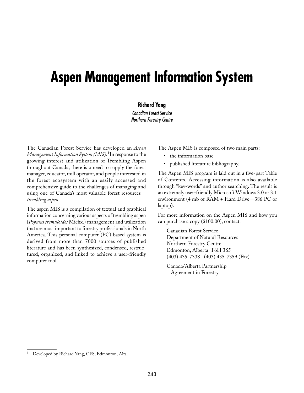# **Aspen Management Information System**

#### **Richard Yang**

Canadian Forest Service Northern Forestry Centre

The Canadian Forest Service has developed an *Aspen Management Information System (MIS).*1In response to the growing interest and utilization of Trembling Aspen throughout Canada, there is a need to supply the forest manager, educator, mill operator, and people interested in the forest ecosystem with an easily accessed and comprehensive guide to the challenges of managing and using one of Canada's most valuable forest resources *trembling aspen.*

The aspen MIS is a compilation of textual and graphical information concerning various aspects of trembling aspen (*Populus tremuloides* Michx.) management and utilization that are most important to forestry professionals in North America. This personal computer (PC) based system is derived from more than 7000 sources of published literature and has been synthesized, condensed, restructured, organized, and linked to achieve a user-friendly computer tool.

The Aspen MIS is composed of two main parts:

- the information base
- published literature bibliography.

The Aspen MIS program is laid out in a five-part Table of Contents*.* Accessing information is also available through "key-words" and author searching. The result is an extremely user-friendly Microsoft Windows 3.0 or 3.1 environment (4 mb of RAM + Hard Drive—386 PC or laptop).

For more information on the Aspen MIS and how you can purchase a copy (\$100.00), contact:

Canadian Forest Service Department of Natural Resources Northern Forestry Centre Edmonton, Alberta T6H 3S5 (403) 435-7338 (403) 435-7359 (Fax)

Canada/Alberta Partnership Agreement in Forestry

Developed by Richard Yang, CFS, Edmonton, Alta.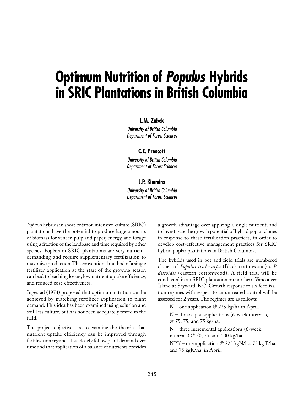# **Optimum Nutrition of Populus Hybrids in SRIC Plantations in British Columbia**

#### **L.M. Zabek**

University of British Columbia Department of Forest Sciences

#### **C.E. Prescott**

University of British Columbia Department of Forest Sciences

#### **J.P. Kimmins**

University of British Columbia Department of Forest Sciences

*Populus* hybrids in short-rotation intensive-culture (SRIC) plantations have the potential to produce large amounts of biomass for veneer, pulp and paper, energy, and forage using a fraction of the landbase and time required by other species. Poplars in SRIC plantations are very nutrientdemanding and require supplementary fertilization to maximize production. The conventional method of a single fertilizer application at the start of the growing season can lead to leaching losses, low nutrient uptake efficiency, and reduced cost-effectiveness.

Ingestad (1974) proposed that optimum nutrition can be achieved by matching fertilizer application to plant demand. This idea has been examined using solution and soil-less culture, but has not been adequately tested in the field.

The project objectives are to examine the theories that nutrient uptake efficiency can be improved through fertilization regimes that closely follow plant demand over time and that application of a balance of nutrients provides

a growth advantage over applying a single nutrient, and to investigate the growth potential of hybrid poplar clones in response to these fertilization practices, in order to develop cost-effective management practices for SRIC hybrid poplar plantations in British Columbia.

The hybrids used in pot and field trials are numbered clones of *Populus trichocarpa* (Black cottonwood) x *P. deltoides* (eastern cottonwood). A field trial will be conducted in an SRIC plantation on northern Vancouver Island at Sayward, B.C. Growth response to six fertilization regimes with respect to an untreated control will be assessed for 2 years. The regimes are as follows:

N – one application  $\varnothing$  225 kg/ha in April.

 $N$  – three equal applications (6-week intervals) @␣ 75, 75, and 75 kg/ha.

 $N$  – three incremental applications (6-week) intervals) @ 50, 75, and 100 kg/ha.

NPK – one application @ 225 kgN/ha, 75 kg P/ha, and 75 kgK/ha, in April.